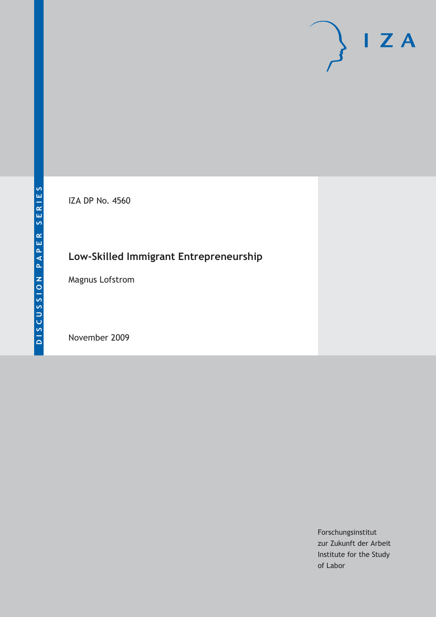IZA DP No. 4560

# **Low-Skilled Immigrant Entrepreneurship**

Magnus Lofstrom

November 2009

Forschungsinstitut zur Zukunft der Arbeit Institute for the Study of Labor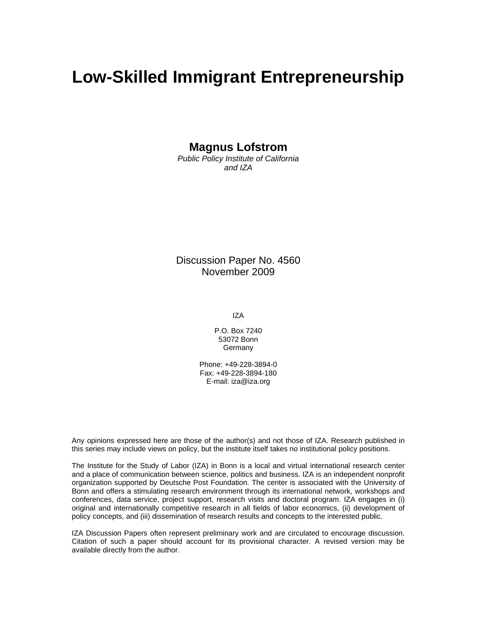# **Low-Skilled Immigrant Entrepreneurship**

**Magnus Lofstrom** 

*Public Policy Institute of California and IZA* 

Discussion Paper No. 4560 November 2009

IZA

P.O. Box 7240 53072 Bonn **Germany** 

Phone: +49-228-3894-0 Fax: +49-228-3894-180 E-mail: iza@iza.org

Any opinions expressed here are those of the author(s) and not those of IZA. Research published in this series may include views on policy, but the institute itself takes no institutional policy positions.

The Institute for the Study of Labor (IZA) in Bonn is a local and virtual international research center and a place of communication between science, politics and business. IZA is an independent nonprofit organization supported by Deutsche Post Foundation. The center is associated with the University of Bonn and offers a stimulating research environment through its international network, workshops and conferences, data service, project support, research visits and doctoral program. IZA engages in (i) original and internationally competitive research in all fields of labor economics, (ii) development of policy concepts, and (iii) dissemination of research results and concepts to the interested public.

IZA Discussion Papers often represent preliminary work and are circulated to encourage discussion. Citation of such a paper should account for its provisional character. A revised version may be available directly from the author.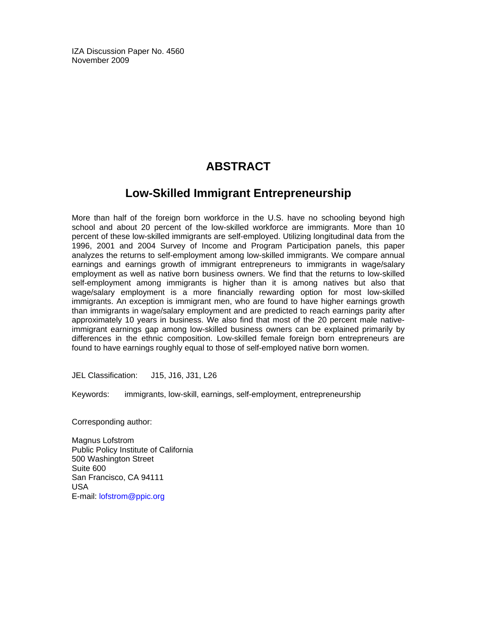IZA Discussion Paper No. 4560 November 2009

# **ABSTRACT**

# **Low-Skilled Immigrant Entrepreneurship**

More than half of the foreign born workforce in the U.S. have no schooling beyond high school and about 20 percent of the low-skilled workforce are immigrants. More than 10 percent of these low-skilled immigrants are self-employed. Utilizing longitudinal data from the 1996, 2001 and 2004 Survey of Income and Program Participation panels, this paper analyzes the returns to self-employment among low-skilled immigrants. We compare annual earnings and earnings growth of immigrant entrepreneurs to immigrants in wage/salary employment as well as native born business owners. We find that the returns to low-skilled self-employment among immigrants is higher than it is among natives but also that wage/salary employment is a more financially rewarding option for most low-skilled immigrants. An exception is immigrant men, who are found to have higher earnings growth than immigrants in wage/salary employment and are predicted to reach earnings parity after approximately 10 years in business. We also find that most of the 20 percent male nativeimmigrant earnings gap among low-skilled business owners can be explained primarily by differences in the ethnic composition. Low-skilled female foreign born entrepreneurs are found to have earnings roughly equal to those of self-employed native born women.

JEL Classification: J15, J16, J31, L26

Keywords: immigrants, low-skill, earnings, self-employment, entrepreneurship

Corresponding author:

Magnus Lofstrom Public Policy Institute of California 500 Washington Street Suite 600 San Francisco, CA 94111 USA E-mail: lofstrom@ppic.org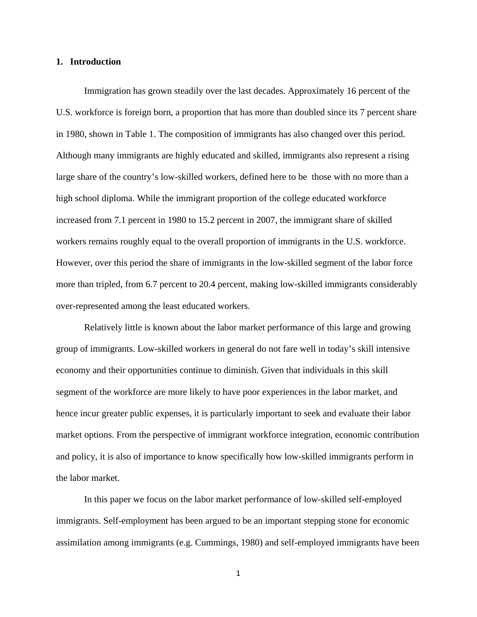#### **1. Introduction**

Immigration has grown steadily over the last decades. Approximately 16 percent of the U.S. workforce is foreign born, a proportion that has more than doubled since its 7 percent share in 1980, shown in Table 1. The composition of immigrants has also changed over this period. Although many immigrants are highly educated and skilled, immigrants also represent a rising large share of the country's low-skilled workers, defined here to be those with no more than a high school diploma. While the immigrant proportion of the college educated workforce increased from 7.1 percent in 1980 to 15.2 percent in 2007, the immigrant share of skilled workers remains roughly equal to the overall proportion of immigrants in the U.S. workforce. However, over this period the share of immigrants in the low-skilled segment of the labor force more than tripled, from 6.7 percent to 20.4 percent, making low-skilled immigrants considerably over-represented among the least educated workers.

Relatively little is known about the labor market performance of this large and growing group of immigrants. Low-skilled workers in general do not fare well in today's skill intensive economy and their opportunities continue to diminish. Given that individuals in this skill segment of the workforce are more likely to have poor experiences in the labor market, and hence incur greater public expenses, it is particularly important to seek and evaluate their labor market options. From the perspective of immigrant workforce integration, economic contribution and policy, it is also of importance to know specifically how low-skilled immigrants perform in the labor market.

In this paper we focus on the labor market performance of low-skilled self-employed immigrants. Self-employment has been argued to be an important stepping stone for economic assimilation among immigrants (e.g. Cummings, 1980) and self-employed immigrants have been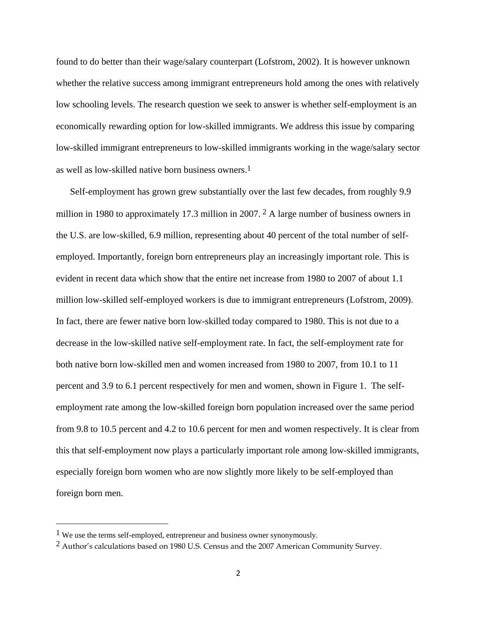found to do better than their wage/salary counterpart (Lofstrom, 2002). It is however unknown whether the relative success among immigrant entrepreneurs hold among the ones with relatively low schooling levels. The research question we seek to answer is whether self-employment is an economically rewarding option for low-skilled immigrants. We address this issue by comparing low-skilled immigrant entrepreneurs to low-skilled immigrants working in the wage/salary sector as well as low-skilled native born business owners.1

Self-employment has grown grew substantially over the last few decades, from roughly 9.9 million in 1980 to approximately 17.3 million in 2007. 2 A large number of business owners in the U.S. are low-skilled, 6.9 million, representing about 40 percent of the total number of selfemployed. Importantly, foreign born entrepreneurs play an increasingly important role. This is evident in recent data which show that the entire net increase from 1980 to 2007 of about 1.1 million low-skilled self-employed workers is due to immigrant entrepreneurs (Lofstrom, 2009). In fact, there are fewer native born low-skilled today compared to 1980. This is not due to a decrease in the low-skilled native self-employment rate. In fact, the self-employment rate for both native born low-skilled men and women increased from 1980 to 2007, from 10.1 to 11 percent and 3.9 to 6.1 percent respectively for men and women, shown in Figure 1. The selfemployment rate among the low-skilled foreign born population increased over the same period from 9.8 to 10.5 percent and 4.2 to 10.6 percent for men and women respectively. It is clear from this that self-employment now plays a particularly important role among low-skilled immigrants, especially foreign born women who are now slightly more likely to be self-employed than foreign born men.

<sup>&</sup>lt;sup>1</sup> We use the terms self-employed, entrepreneur and business owner synonymously.

<sup>2</sup> Author's calculations based on 1980 U.S. Census and the 2007 American Community Survey.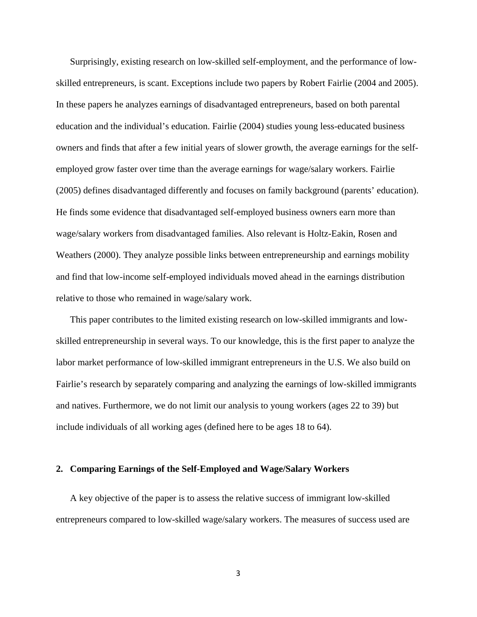Surprisingly, existing research on low-skilled self-employment, and the performance of lowskilled entrepreneurs, is scant. Exceptions include two papers by Robert Fairlie (2004 and 2005). In these papers he analyzes earnings of disadvantaged entrepreneurs, based on both parental education and the individual's education. Fairlie (2004) studies young less-educated business owners and finds that after a few initial years of slower growth, the average earnings for the selfemployed grow faster over time than the average earnings for wage/salary workers. Fairlie (2005) defines disadvantaged differently and focuses on family background (parents' education). He finds some evidence that disadvantaged self-employed business owners earn more than wage/salary workers from disadvantaged families. Also relevant is Holtz-Eakin, Rosen and Weathers (2000). They analyze possible links between entrepreneurship and earnings mobility and find that low-income self-employed individuals moved ahead in the earnings distribution relative to those who remained in wage/salary work.

This paper contributes to the limited existing research on low-skilled immigrants and lowskilled entrepreneurship in several ways. To our knowledge, this is the first paper to analyze the labor market performance of low-skilled immigrant entrepreneurs in the U.S. We also build on Fairlie's research by separately comparing and analyzing the earnings of low-skilled immigrants and natives. Furthermore, we do not limit our analysis to young workers (ages 22 to 39) but include individuals of all working ages (defined here to be ages 18 to 64).

#### **2. Comparing Earnings of the Self-Employed and Wage/Salary Workers**

A key objective of the paper is to assess the relative success of immigrant low-skilled entrepreneurs compared to low-skilled wage/salary workers. The measures of success used are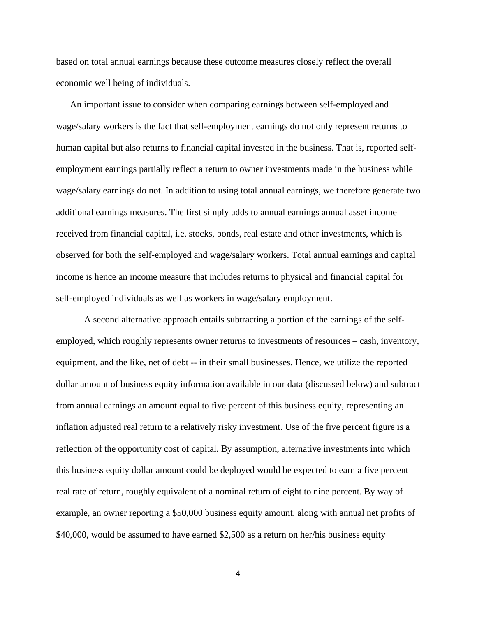based on total annual earnings because these outcome measures closely reflect the overall economic well being of individuals.

An important issue to consider when comparing earnings between self-employed and wage/salary workers is the fact that self-employment earnings do not only represent returns to human capital but also returns to financial capital invested in the business. That is, reported selfemployment earnings partially reflect a return to owner investments made in the business while wage/salary earnings do not. In addition to using total annual earnings, we therefore generate two additional earnings measures. The first simply adds to annual earnings annual asset income received from financial capital, i.e. stocks, bonds, real estate and other investments, which is observed for both the self-employed and wage/salary workers. Total annual earnings and capital income is hence an income measure that includes returns to physical and financial capital for self-employed individuals as well as workers in wage/salary employment.

A second alternative approach entails subtracting a portion of the earnings of the selfemployed, which roughly represents owner returns to investments of resources – cash, inventory, equipment, and the like, net of debt -- in their small businesses. Hence, we utilize the reported dollar amount of business equity information available in our data (discussed below) and subtract from annual earnings an amount equal to five percent of this business equity, representing an inflation adjusted real return to a relatively risky investment. Use of the five percent figure is a reflection of the opportunity cost of capital. By assumption, alternative investments into which this business equity dollar amount could be deployed would be expected to earn a five percent real rate of return, roughly equivalent of a nominal return of eight to nine percent. By way of example, an owner reporting a \$50,000 business equity amount, along with annual net profits of \$40,000, would be assumed to have earned \$2,500 as a return on her/his business equity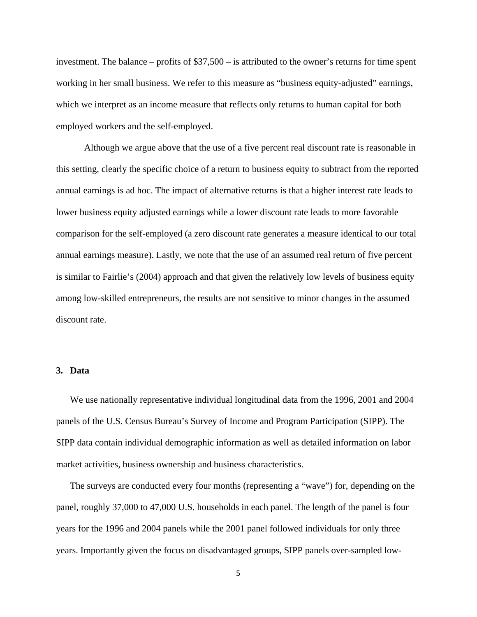investment. The balance – profits of \$37,500 – is attributed to the owner's returns for time spent working in her small business. We refer to this measure as "business equity-adjusted" earnings, which we interpret as an income measure that reflects only returns to human capital for both employed workers and the self-employed.

Although we argue above that the use of a five percent real discount rate is reasonable in this setting, clearly the specific choice of a return to business equity to subtract from the reported annual earnings is ad hoc. The impact of alternative returns is that a higher interest rate leads to lower business equity adjusted earnings while a lower discount rate leads to more favorable comparison for the self-employed (a zero discount rate generates a measure identical to our total annual earnings measure). Lastly, we note that the use of an assumed real return of five percent is similar to Fairlie's (2004) approach and that given the relatively low levels of business equity among low-skilled entrepreneurs, the results are not sensitive to minor changes in the assumed discount rate.

#### **3. Data**

We use nationally representative individual longitudinal data from the 1996, 2001 and 2004 panels of the U.S. Census Bureau's Survey of Income and Program Participation (SIPP). The SIPP data contain individual demographic information as well as detailed information on labor market activities, business ownership and business characteristics.

The surveys are conducted every four months (representing a "wave") for, depending on the panel, roughly 37,000 to 47,000 U.S. households in each panel. The length of the panel is four years for the 1996 and 2004 panels while the 2001 panel followed individuals for only three years. Importantly given the focus on disadvantaged groups, SIPP panels over-sampled low-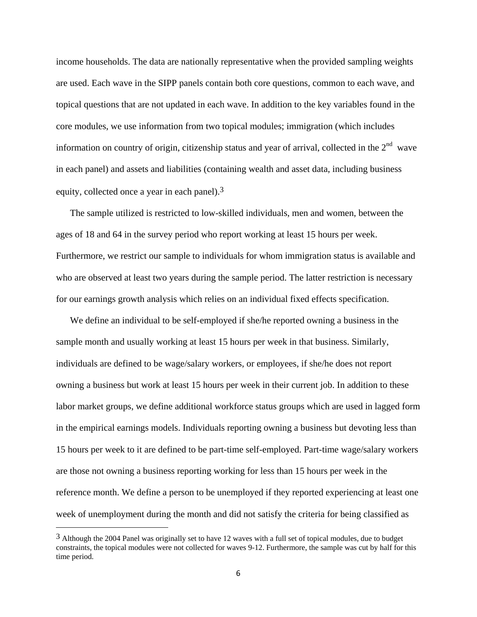income households. The data are nationally representative when the provided sampling weights are used. Each wave in the SIPP panels contain both core questions, common to each wave, and topical questions that are not updated in each wave. In addition to the key variables found in the core modules, we use information from two topical modules; immigration (which includes information on country of origin, citizenship status and year of arrival, collected in the  $2<sup>nd</sup>$  wave in each panel) and assets and liabilities (containing wealth and asset data, including business equity, collected once a year in each panel).3

The sample utilized is restricted to low-skilled individuals, men and women, between the ages of 18 and 64 in the survey period who report working at least 15 hours per week. Furthermore, we restrict our sample to individuals for whom immigration status is available and who are observed at least two years during the sample period. The latter restriction is necessary for our earnings growth analysis which relies on an individual fixed effects specification.

We define an individual to be self-employed if she/he reported owning a business in the sample month and usually working at least 15 hours per week in that business. Similarly, individuals are defined to be wage/salary workers, or employees, if she/he does not report owning a business but work at least 15 hours per week in their current job. In addition to these labor market groups, we define additional workforce status groups which are used in lagged form in the empirical earnings models. Individuals reporting owning a business but devoting less than 15 hours per week to it are defined to be part-time self-employed. Part-time wage/salary workers are those not owning a business reporting working for less than 15 hours per week in the reference month. We define a person to be unemployed if they reported experiencing at least one week of unemployment during the month and did not satisfy the criteria for being classified as

<sup>&</sup>lt;sup>3</sup> Although the 2004 Panel was originally set to have 12 waves with a full set of topical modules, due to budget constraints, the topical modules were not collected for waves 9-12. Furthermore, the sample was cut by half for this time period.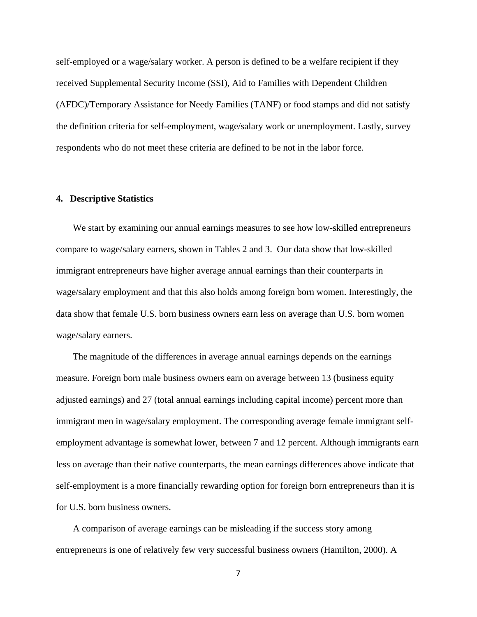self-employed or a wage/salary worker. A person is defined to be a welfare recipient if they received Supplemental Security Income (SSI), Aid to Families with Dependent Children (AFDC)/Temporary Assistance for Needy Families (TANF) or food stamps and did not satisfy the definition criteria for self-employment, wage/salary work or unemployment. Lastly, survey respondents who do not meet these criteria are defined to be not in the labor force.

#### **4. Descriptive Statistics**

We start by examining our annual earnings measures to see how low-skilled entrepreneurs compare to wage/salary earners, shown in Tables 2 and 3. Our data show that low-skilled immigrant entrepreneurs have higher average annual earnings than their counterparts in wage/salary employment and that this also holds among foreign born women. Interestingly, the data show that female U.S. born business owners earn less on average than U.S. born women wage/salary earners.

The magnitude of the differences in average annual earnings depends on the earnings measure. Foreign born male business owners earn on average between 13 (business equity adjusted earnings) and 27 (total annual earnings including capital income) percent more than immigrant men in wage/salary employment. The corresponding average female immigrant selfemployment advantage is somewhat lower, between 7 and 12 percent. Although immigrants earn less on average than their native counterparts, the mean earnings differences above indicate that self-employment is a more financially rewarding option for foreign born entrepreneurs than it is for U.S. born business owners.

A comparison of average earnings can be misleading if the success story among entrepreneurs is one of relatively few very successful business owners (Hamilton, 2000). A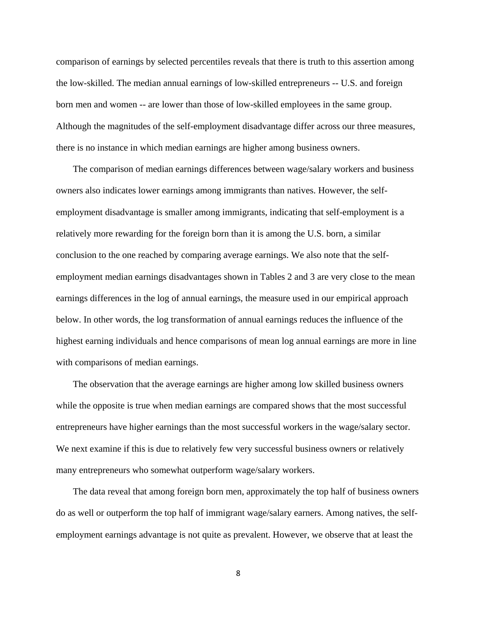comparison of earnings by selected percentiles reveals that there is truth to this assertion among the low-skilled. The median annual earnings of low-skilled entrepreneurs -- U.S. and foreign born men and women -- are lower than those of low-skilled employees in the same group. Although the magnitudes of the self-employment disadvantage differ across our three measures, there is no instance in which median earnings are higher among business owners.

The comparison of median earnings differences between wage/salary workers and business owners also indicates lower earnings among immigrants than natives. However, the selfemployment disadvantage is smaller among immigrants, indicating that self-employment is a relatively more rewarding for the foreign born than it is among the U.S. born, a similar conclusion to the one reached by comparing average earnings. We also note that the selfemployment median earnings disadvantages shown in Tables 2 and 3 are very close to the mean earnings differences in the log of annual earnings, the measure used in our empirical approach below. In other words, the log transformation of annual earnings reduces the influence of the highest earning individuals and hence comparisons of mean log annual earnings are more in line with comparisons of median earnings.

The observation that the average earnings are higher among low skilled business owners while the opposite is true when median earnings are compared shows that the most successful entrepreneurs have higher earnings than the most successful workers in the wage/salary sector. We next examine if this is due to relatively few very successful business owners or relatively many entrepreneurs who somewhat outperform wage/salary workers.

The data reveal that among foreign born men, approximately the top half of business owners do as well or outperform the top half of immigrant wage/salary earners. Among natives, the selfemployment earnings advantage is not quite as prevalent. However, we observe that at least the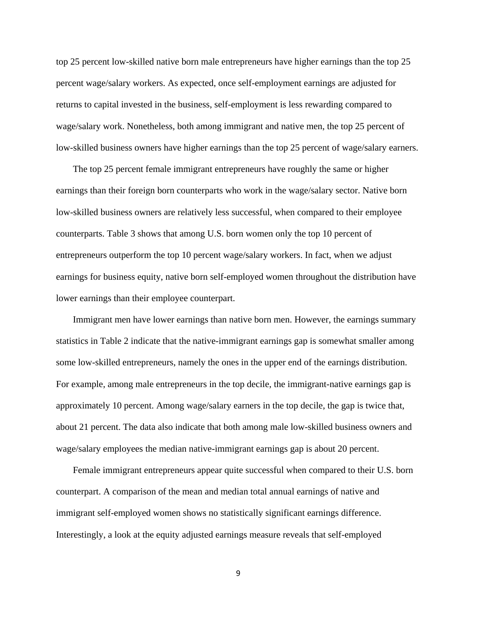top 25 percent low-skilled native born male entrepreneurs have higher earnings than the top 25 percent wage/salary workers. As expected, once self-employment earnings are adjusted for returns to capital invested in the business, self-employment is less rewarding compared to wage/salary work. Nonetheless, both among immigrant and native men, the top 25 percent of low-skilled business owners have higher earnings than the top 25 percent of wage/salary earners.

The top 25 percent female immigrant entrepreneurs have roughly the same or higher earnings than their foreign born counterparts who work in the wage/salary sector. Native born low-skilled business owners are relatively less successful, when compared to their employee counterparts. Table 3 shows that among U.S. born women only the top 10 percent of entrepreneurs outperform the top 10 percent wage/salary workers. In fact, when we adjust earnings for business equity, native born self-employed women throughout the distribution have lower earnings than their employee counterpart.

Immigrant men have lower earnings than native born men. However, the earnings summary statistics in Table 2 indicate that the native-immigrant earnings gap is somewhat smaller among some low-skilled entrepreneurs, namely the ones in the upper end of the earnings distribution. For example, among male entrepreneurs in the top decile, the immigrant-native earnings gap is approximately 10 percent. Among wage/salary earners in the top decile, the gap is twice that, about 21 percent. The data also indicate that both among male low-skilled business owners and wage/salary employees the median native-immigrant earnings gap is about 20 percent.

Female immigrant entrepreneurs appear quite successful when compared to their U.S. born counterpart. A comparison of the mean and median total annual earnings of native and immigrant self-employed women shows no statistically significant earnings difference. Interestingly, a look at the equity adjusted earnings measure reveals that self-employed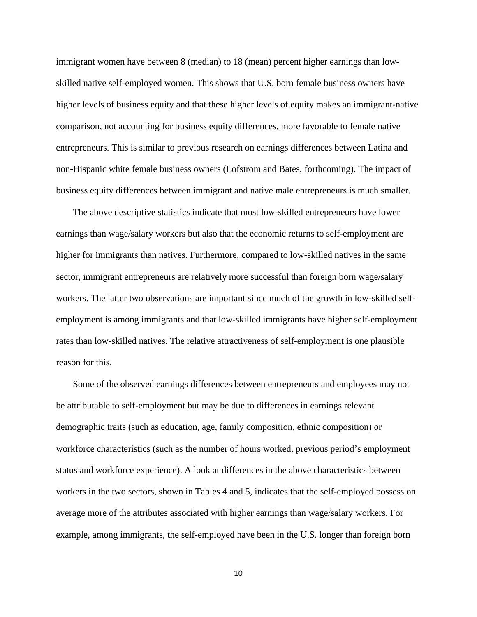immigrant women have between 8 (median) to 18 (mean) percent higher earnings than lowskilled native self-employed women. This shows that U.S. born female business owners have higher levels of business equity and that these higher levels of equity makes an immigrant-native comparison, not accounting for business equity differences, more favorable to female native entrepreneurs. This is similar to previous research on earnings differences between Latina and non-Hispanic white female business owners (Lofstrom and Bates, forthcoming). The impact of business equity differences between immigrant and native male entrepreneurs is much smaller.

The above descriptive statistics indicate that most low-skilled entrepreneurs have lower earnings than wage/salary workers but also that the economic returns to self-employment are higher for immigrants than natives. Furthermore, compared to low-skilled natives in the same sector, immigrant entrepreneurs are relatively more successful than foreign born wage/salary workers. The latter two observations are important since much of the growth in low-skilled selfemployment is among immigrants and that low-skilled immigrants have higher self-employment rates than low-skilled natives. The relative attractiveness of self-employment is one plausible reason for this.

Some of the observed earnings differences between entrepreneurs and employees may not be attributable to self-employment but may be due to differences in earnings relevant demographic traits (such as education, age, family composition, ethnic composition) or workforce characteristics (such as the number of hours worked, previous period's employment status and workforce experience). A look at differences in the above characteristics between workers in the two sectors, shown in Tables 4 and 5, indicates that the self-employed possess on average more of the attributes associated with higher earnings than wage/salary workers. For example, among immigrants, the self-employed have been in the U.S. longer than foreign born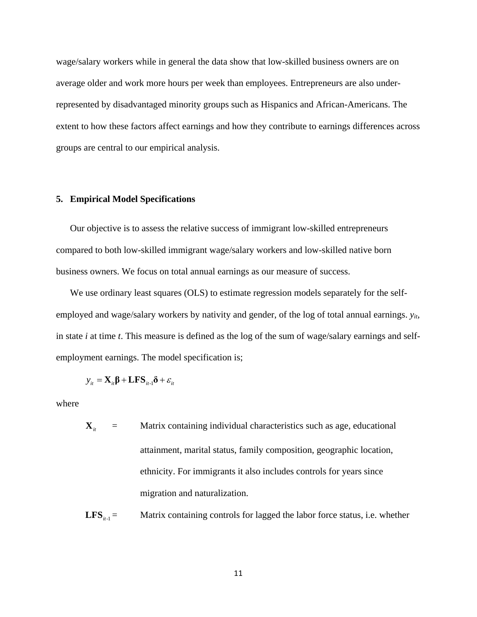wage/salary workers while in general the data show that low-skilled business owners are on average older and work more hours per week than employees. Entrepreneurs are also underrepresented by disadvantaged minority groups such as Hispanics and African-Americans. The extent to how these factors affect earnings and how they contribute to earnings differences across groups are central to our empirical analysis.

#### **5. Empirical Model Specifications**

Our objective is to assess the relative success of immigrant low-skilled entrepreneurs compared to both low-skilled immigrant wage/salary workers and low-skilled native born business owners. We focus on total annual earnings as our measure of success.

We use ordinary least squares (OLS) to estimate regression models separately for the selfemployed and wage/salary workers by nativity and gender, of the log of total annual earnings. *yit*, in state *i* at time *t*. This measure is defined as the log of the sum of wage/salary earnings and selfemployment earnings. The model specification is;

$$
y_{it} = \mathbf{X}_{it} \mathbf{\beta} + \mathbf{LFS}_{it-1} \mathbf{\delta} + \varepsilon_{it}
$$

where

 $\mathbf{X}_{i}$  = Matrix containing individual characteristics such as age, educational attainment, marital status, family composition, geographic location, ethnicity. For immigrants it also includes controls for years since migration and naturalization.

**LFS**<sub> $i<sub>t-1</sub>$  = Matrix containing controls for lagged the labor force status, i.e. whether</sub>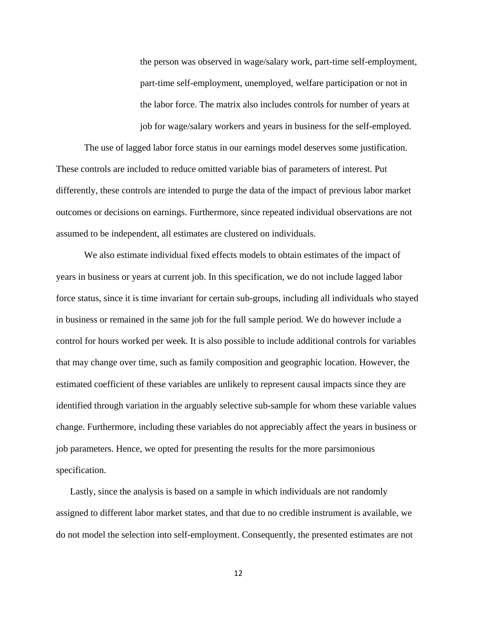the person was observed in wage/salary work, part-time self-employment, part-time self-employment, unemployed, welfare participation or not in the labor force. The matrix also includes controls for number of years at job for wage/salary workers and years in business for the self-employed.

The use of lagged labor force status in our earnings model deserves some justification. These controls are included to reduce omitted variable bias of parameters of interest. Put differently, these controls are intended to purge the data of the impact of previous labor market outcomes or decisions on earnings. Furthermore, since repeated individual observations are not assumed to be independent, all estimates are clustered on individuals.

We also estimate individual fixed effects models to obtain estimates of the impact of years in business or years at current job. In this specification, we do not include lagged labor force status, since it is time invariant for certain sub-groups, including all individuals who stayed in business or remained in the same job for the full sample period. We do however include a control for hours worked per week. It is also possible to include additional controls for variables that may change over time, such as family composition and geographic location. However, the estimated coefficient of these variables are unlikely to represent causal impacts since they are identified through variation in the arguably selective sub-sample for whom these variable values change. Furthermore, including these variables do not appreciably affect the years in business or job parameters. Hence, we opted for presenting the results for the more parsimonious specification.

Lastly, since the analysis is based on a sample in which individuals are not randomly assigned to different labor market states, and that due to no credible instrument is available, we do not model the selection into self-employment. Consequently, the presented estimates are not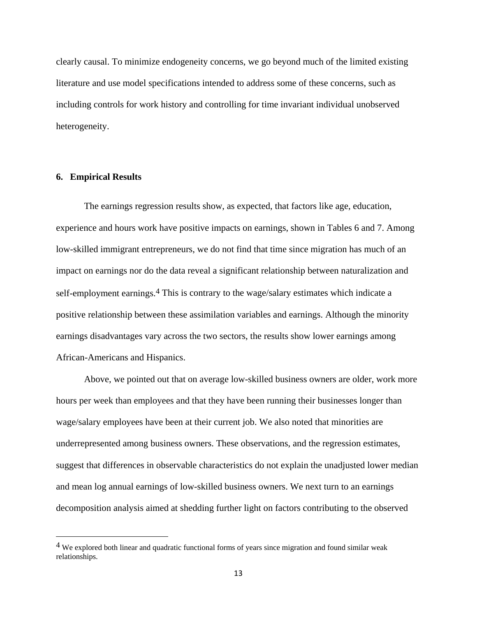clearly causal. To minimize endogeneity concerns, we go beyond much of the limited existing literature and use model specifications intended to address some of these concerns, such as including controls for work history and controlling for time invariant individual unobserved heterogeneity.

#### **6. Empirical Results**

The earnings regression results show, as expected, that factors like age, education, experience and hours work have positive impacts on earnings, shown in Tables 6 and 7. Among low-skilled immigrant entrepreneurs, we do not find that time since migration has much of an impact on earnings nor do the data reveal a significant relationship between naturalization and self-employment earnings.<sup>4</sup> This is contrary to the wage/salary estimates which indicate a positive relationship between these assimilation variables and earnings. Although the minority earnings disadvantages vary across the two sectors, the results show lower earnings among African-Americans and Hispanics.

Above, we pointed out that on average low-skilled business owners are older, work more hours per week than employees and that they have been running their businesses longer than wage/salary employees have been at their current job. We also noted that minorities are underrepresented among business owners. These observations, and the regression estimates, suggest that differences in observable characteristics do not explain the unadjusted lower median and mean log annual earnings of low-skilled business owners. We next turn to an earnings decomposition analysis aimed at shedding further light on factors contributing to the observed

<sup>4</sup> We explored both linear and quadratic functional forms of years since migration and found similar weak relationships.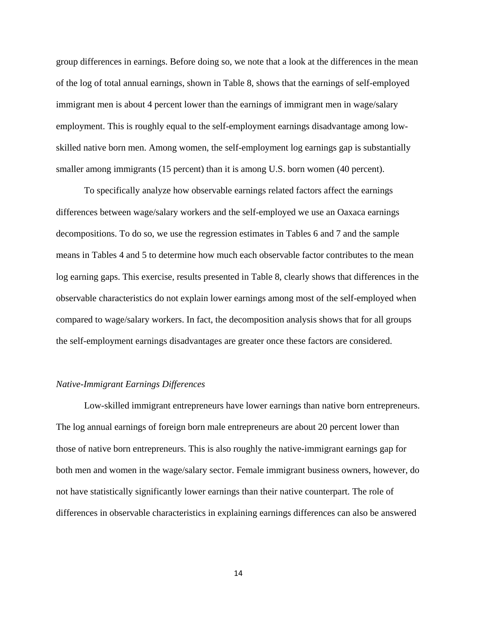group differences in earnings. Before doing so, we note that a look at the differences in the mean of the log of total annual earnings, shown in Table 8, shows that the earnings of self-employed immigrant men is about 4 percent lower than the earnings of immigrant men in wage/salary employment. This is roughly equal to the self-employment earnings disadvantage among lowskilled native born men. Among women, the self-employment log earnings gap is substantially smaller among immigrants (15 percent) than it is among U.S. born women (40 percent).

To specifically analyze how observable earnings related factors affect the earnings differences between wage/salary workers and the self-employed we use an Oaxaca earnings decompositions. To do so, we use the regression estimates in Tables 6 and 7 and the sample means in Tables 4 and 5 to determine how much each observable factor contributes to the mean log earning gaps. This exercise, results presented in Table 8, clearly shows that differences in the observable characteristics do not explain lower earnings among most of the self-employed when compared to wage/salary workers. In fact, the decomposition analysis shows that for all groups the self-employment earnings disadvantages are greater once these factors are considered.

#### *Native-Immigrant Earnings Differences*

Low-skilled immigrant entrepreneurs have lower earnings than native born entrepreneurs. The log annual earnings of foreign born male entrepreneurs are about 20 percent lower than those of native born entrepreneurs. This is also roughly the native-immigrant earnings gap for both men and women in the wage/salary sector. Female immigrant business owners, however, do not have statistically significantly lower earnings than their native counterpart. The role of differences in observable characteristics in explaining earnings differences can also be answered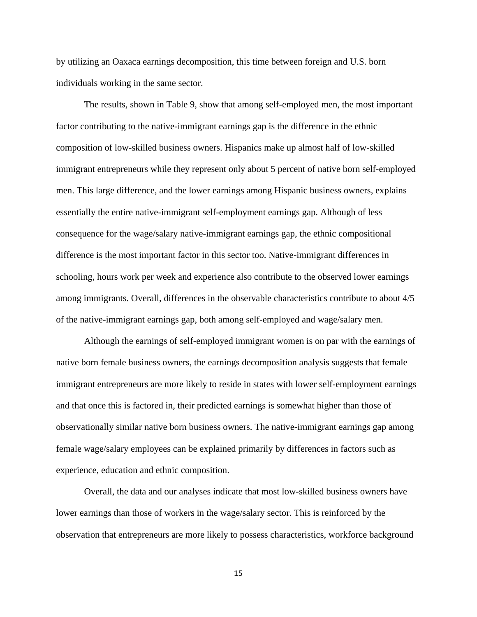by utilizing an Oaxaca earnings decomposition, this time between foreign and U.S. born individuals working in the same sector.

The results, shown in Table 9, show that among self-employed men, the most important factor contributing to the native-immigrant earnings gap is the difference in the ethnic composition of low-skilled business owners. Hispanics make up almost half of low-skilled immigrant entrepreneurs while they represent only about 5 percent of native born self-employed men. This large difference, and the lower earnings among Hispanic business owners, explains essentially the entire native-immigrant self-employment earnings gap. Although of less consequence for the wage/salary native-immigrant earnings gap, the ethnic compositional difference is the most important factor in this sector too. Native-immigrant differences in schooling, hours work per week and experience also contribute to the observed lower earnings among immigrants. Overall, differences in the observable characteristics contribute to about 4/5 of the native-immigrant earnings gap, both among self-employed and wage/salary men.

Although the earnings of self-employed immigrant women is on par with the earnings of native born female business owners, the earnings decomposition analysis suggests that female immigrant entrepreneurs are more likely to reside in states with lower self-employment earnings and that once this is factored in, their predicted earnings is somewhat higher than those of observationally similar native born business owners. The native-immigrant earnings gap among female wage/salary employees can be explained primarily by differences in factors such as experience, education and ethnic composition.

Overall, the data and our analyses indicate that most low-skilled business owners have lower earnings than those of workers in the wage/salary sector. This is reinforced by the observation that entrepreneurs are more likely to possess characteristics, workforce background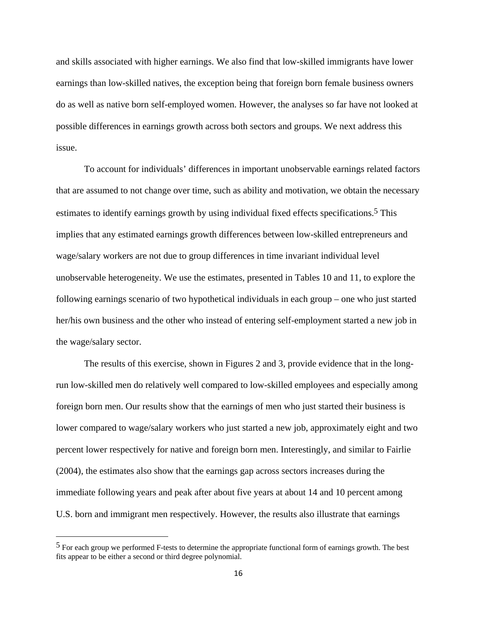and skills associated with higher earnings. We also find that low-skilled immigrants have lower earnings than low-skilled natives, the exception being that foreign born female business owners do as well as native born self-employed women. However, the analyses so far have not looked at possible differences in earnings growth across both sectors and groups. We next address this issue.

To account for individuals' differences in important unobservable earnings related factors that are assumed to not change over time, such as ability and motivation, we obtain the necessary estimates to identify earnings growth by using individual fixed effects specifications.<sup>5</sup> This implies that any estimated earnings growth differences between low-skilled entrepreneurs and wage/salary workers are not due to group differences in time invariant individual level unobservable heterogeneity. We use the estimates, presented in Tables 10 and 11, to explore the following earnings scenario of two hypothetical individuals in each group – one who just started her/his own business and the other who instead of entering self-employment started a new job in the wage/salary sector.

The results of this exercise, shown in Figures 2 and 3, provide evidence that in the longrun low-skilled men do relatively well compared to low-skilled employees and especially among foreign born men. Our results show that the earnings of men who just started their business is lower compared to wage/salary workers who just started a new job, approximately eight and two percent lower respectively for native and foreign born men. Interestingly, and similar to Fairlie (2004), the estimates also show that the earnings gap across sectors increases during the immediate following years and peak after about five years at about 14 and 10 percent among U.S. born and immigrant men respectively. However, the results also illustrate that earnings

<sup>5</sup> For each group we performed F-tests to determine the appropriate functional form of earnings growth. The best fits appear to be either a second or third degree polynomial.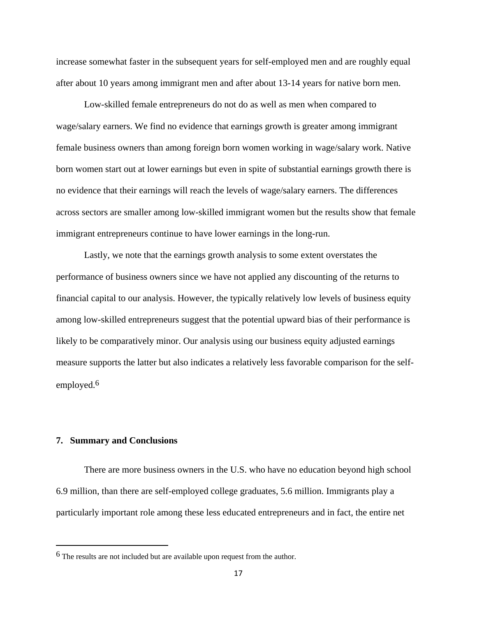increase somewhat faster in the subsequent years for self-employed men and are roughly equal after about 10 years among immigrant men and after about 13-14 years for native born men.

Low-skilled female entrepreneurs do not do as well as men when compared to wage/salary earners. We find no evidence that earnings growth is greater among immigrant female business owners than among foreign born women working in wage/salary work. Native born women start out at lower earnings but even in spite of substantial earnings growth there is no evidence that their earnings will reach the levels of wage/salary earners. The differences across sectors are smaller among low-skilled immigrant women but the results show that female immigrant entrepreneurs continue to have lower earnings in the long-run.

Lastly, we note that the earnings growth analysis to some extent overstates the performance of business owners since we have not applied any discounting of the returns to financial capital to our analysis. However, the typically relatively low levels of business equity among low-skilled entrepreneurs suggest that the potential upward bias of their performance is likely to be comparatively minor. Our analysis using our business equity adjusted earnings measure supports the latter but also indicates a relatively less favorable comparison for the selfemployed.6

#### **7. Summary and Conclusions**

There are more business owners in the U.S. who have no education beyond high school 6.9 million, than there are self-employed college graduates, 5.6 million. Immigrants play a particularly important role among these less educated entrepreneurs and in fact, the entire net

<sup>6</sup> The results are not included but are available upon request from the author.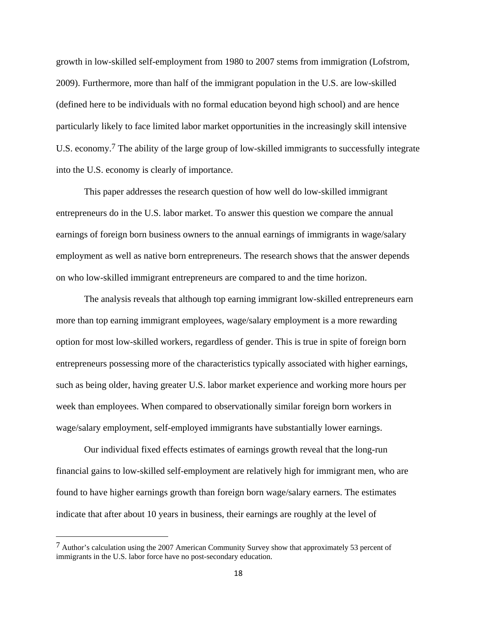growth in low-skilled self-employment from 1980 to 2007 stems from immigration (Lofstrom, 2009). Furthermore, more than half of the immigrant population in the U.S. are low-skilled (defined here to be individuals with no formal education beyond high school) and are hence particularly likely to face limited labor market opportunities in the increasingly skill intensive U.S. economy.7 The ability of the large group of low-skilled immigrants to successfully integrate into the U.S. economy is clearly of importance.

This paper addresses the research question of how well do low-skilled immigrant entrepreneurs do in the U.S. labor market. To answer this question we compare the annual earnings of foreign born business owners to the annual earnings of immigrants in wage/salary employment as well as native born entrepreneurs. The research shows that the answer depends on who low-skilled immigrant entrepreneurs are compared to and the time horizon.

The analysis reveals that although top earning immigrant low-skilled entrepreneurs earn more than top earning immigrant employees, wage/salary employment is a more rewarding option for most low-skilled workers, regardless of gender. This is true in spite of foreign born entrepreneurs possessing more of the characteristics typically associated with higher earnings, such as being older, having greater U.S. labor market experience and working more hours per week than employees. When compared to observationally similar foreign born workers in wage/salary employment, self-employed immigrants have substantially lower earnings.

Our individual fixed effects estimates of earnings growth reveal that the long-run financial gains to low-skilled self-employment are relatively high for immigrant men, who are found to have higher earnings growth than foreign born wage/salary earners. The estimates indicate that after about 10 years in business, their earnings are roughly at the level of

<sup>7</sup> Author's calculation using the 2007 American Community Survey show that approximately 53 percent of immigrants in the U.S. labor force have no post-secondary education.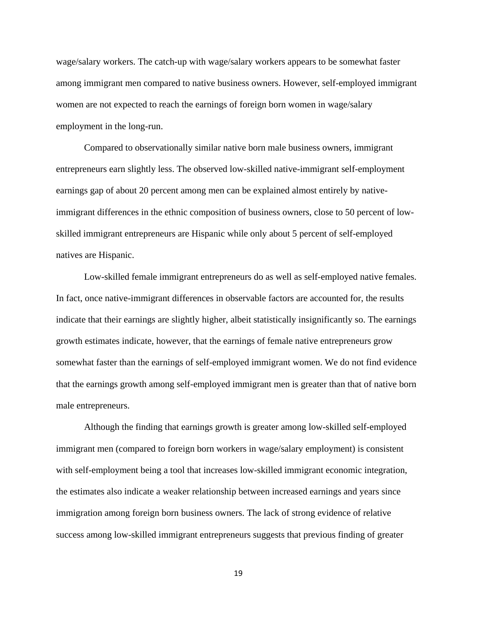wage/salary workers. The catch-up with wage/salary workers appears to be somewhat faster among immigrant men compared to native business owners. However, self-employed immigrant women are not expected to reach the earnings of foreign born women in wage/salary employment in the long-run.

Compared to observationally similar native born male business owners, immigrant entrepreneurs earn slightly less. The observed low-skilled native-immigrant self-employment earnings gap of about 20 percent among men can be explained almost entirely by nativeimmigrant differences in the ethnic composition of business owners, close to 50 percent of lowskilled immigrant entrepreneurs are Hispanic while only about 5 percent of self-employed natives are Hispanic.

Low-skilled female immigrant entrepreneurs do as well as self-employed native females. In fact, once native-immigrant differences in observable factors are accounted for, the results indicate that their earnings are slightly higher, albeit statistically insignificantly so. The earnings growth estimates indicate, however, that the earnings of female native entrepreneurs grow somewhat faster than the earnings of self-employed immigrant women. We do not find evidence that the earnings growth among self-employed immigrant men is greater than that of native born male entrepreneurs.

Although the finding that earnings growth is greater among low-skilled self-employed immigrant men (compared to foreign born workers in wage/salary employment) is consistent with self-employment being a tool that increases low-skilled immigrant economic integration, the estimates also indicate a weaker relationship between increased earnings and years since immigration among foreign born business owners. The lack of strong evidence of relative success among low-skilled immigrant entrepreneurs suggests that previous finding of greater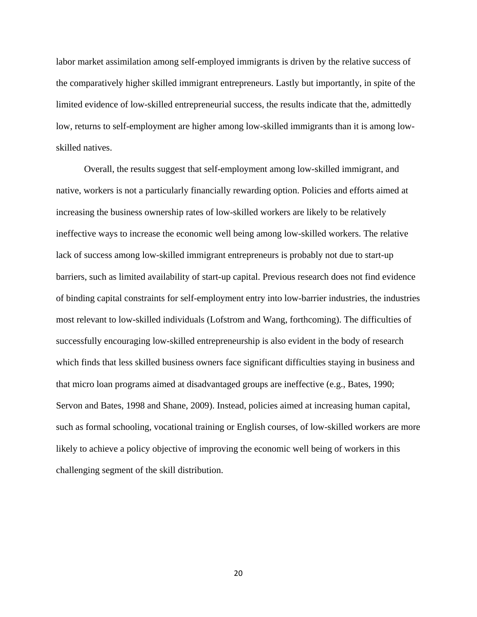labor market assimilation among self-employed immigrants is driven by the relative success of the comparatively higher skilled immigrant entrepreneurs. Lastly but importantly, in spite of the limited evidence of low-skilled entrepreneurial success, the results indicate that the, admittedly low, returns to self-employment are higher among low-skilled immigrants than it is among lowskilled natives.

Overall, the results suggest that self-employment among low-skilled immigrant, and native, workers is not a particularly financially rewarding option. Policies and efforts aimed at increasing the business ownership rates of low-skilled workers are likely to be relatively ineffective ways to increase the economic well being among low-skilled workers. The relative lack of success among low-skilled immigrant entrepreneurs is probably not due to start-up barriers, such as limited availability of start-up capital. Previous research does not find evidence of binding capital constraints for self-employment entry into low-barrier industries, the industries most relevant to low-skilled individuals (Lofstrom and Wang, forthcoming). The difficulties of successfully encouraging low-skilled entrepreneurship is also evident in the body of research which finds that less skilled business owners face significant difficulties staying in business and that micro loan programs aimed at disadvantaged groups are ineffective (e.g., Bates, 1990; Servon and Bates, 1998 and Shane, 2009). Instead, policies aimed at increasing human capital, such as formal schooling, vocational training or English courses, of low-skilled workers are more likely to achieve a policy objective of improving the economic well being of workers in this challenging segment of the skill distribution.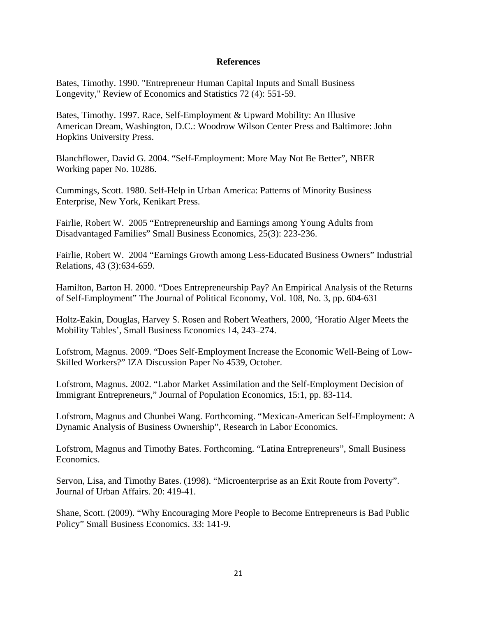#### **References**

Bates, Timothy. 1990. "Entrepreneur Human Capital Inputs and Small Business Longevity," Review of Economics and Statistics 72 (4): 551-59.

Bates, Timothy. 1997. Race, Self-Employment & Upward Mobility: An Illusive American Dream, Washington, D.C.: Woodrow Wilson Center Press and Baltimore: John Hopkins University Press.

Blanchflower, David G. 2004. "Self-Employment: More May Not Be Better", NBER Working paper No. 10286.

Cummings, Scott. 1980. Self-Help in Urban America: Patterns of Minority Business Enterprise, New York, Kenikart Press.

Fairlie, Robert W. 2005 "Entrepreneurship and Earnings among Young Adults from Disadvantaged Families" Small Business Economics, 25(3): 223-236.

Fairlie, Robert W. 2004 "Earnings Growth among Less-Educated Business Owners" Industrial Relations, 43 (3):634-659.

Hamilton, Barton H. 2000. "Does Entrepreneurship Pay? An Empirical Analysis of the Returns of Self-Employment" The Journal of Political Economy, Vol. 108, No. 3, pp. 604-631

Holtz-Eakin, Douglas, Harvey S. Rosen and Robert Weathers, 2000, 'Horatio Alger Meets the Mobility Tables', Small Business Economics 14, 243–274.

Lofstrom, Magnus. 2009. "Does Self-Employment Increase the Economic Well-Being of Low-Skilled Workers?" IZA Discussion Paper No 4539, October.

Lofstrom, Magnus. 2002. "Labor Market Assimilation and the Self-Employment Decision of Immigrant Entrepreneurs," Journal of Population Economics, 15:1, pp. 83-114.

Lofstrom, Magnus and Chunbei Wang. Forthcoming. "Mexican-American Self-Employment: A Dynamic Analysis of Business Ownership", Research in Labor Economics.

Lofstrom, Magnus and Timothy Bates. Forthcoming. "Latina Entrepreneurs", Small Business Economics.

Servon, Lisa, and Timothy Bates. (1998). "Microenterprise as an Exit Route from Poverty". Journal of Urban Affairs. 20: 419-41.

Shane, Scott. (2009). "Why Encouraging More People to Become Entrepreneurs is Bad Public Policy" Small Business Economics. 33: 141-9.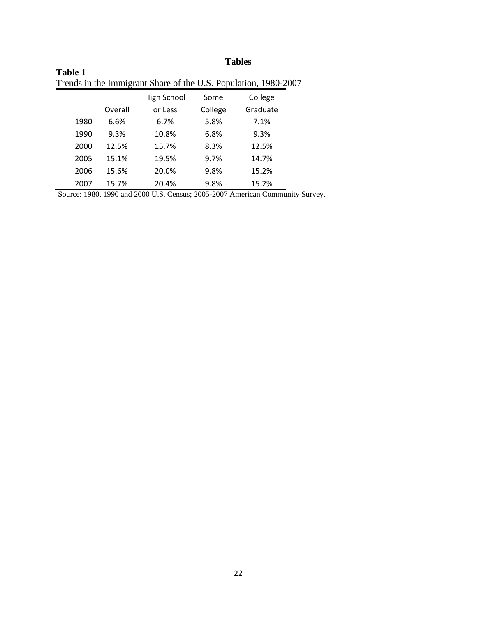# **Tables**

|      |         |             |         | Trends in the immigrant share of the U.S. Population, 1980-2007 |
|------|---------|-------------|---------|-----------------------------------------------------------------|
|      |         | High School | Some    | College                                                         |
|      | Overall | or Less     | College | Graduate                                                        |
| 1980 | 6.6%    | 6.7%        | 5.8%    | 7.1%                                                            |
| 1990 | 9.3%    | 10.8%       | 6.8%    | 9.3%                                                            |
| 2000 | 12.5%   | 15.7%       | 8.3%    | 12.5%                                                           |
| 2005 | 15.1%   | 19.5%       | 9.7%    | 14.7%                                                           |
| 2006 | 15.6%   | 20.0%       | 9.8%    | 15.2%                                                           |
| 2007 | 15.7%   | 20.4%       | 9.8%    | 15.2%                                                           |

| <b>Table 1</b>                                                  |  |
|-----------------------------------------------------------------|--|
| Trends in the Immigrant Share of the U.S. Population, 1980-2007 |  |

Source: 1980, 1990 and 2000 U.S. Census; 2005-2007 American Community Survey.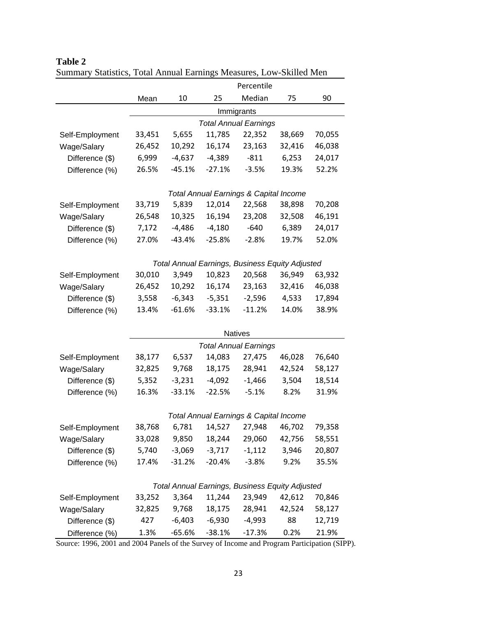|                                |        |          |          | Percentile                                        |        |        |
|--------------------------------|--------|----------|----------|---------------------------------------------------|--------|--------|
|                                | Mean   | 10       | 25       | Median                                            | 75     | 90     |
|                                |        |          |          | Immigrants                                        |        |        |
|                                |        |          |          | <b>Total Annual Earnings</b>                      |        |        |
| Self-Employment                | 33,451 | 5,655    | 11,785   | 22,352                                            | 38,669 | 70,055 |
| Wage/Salary                    | 26,452 | 10,292   | 16,174   | 23,163                                            | 32,416 | 46,038 |
| Difference (\$)                | 6,999  | $-4,637$ | $-4,389$ | $-811$                                            | 6,253  | 24,017 |
| Difference (%)                 | 26.5%  | $-45.1%$ | $-27.1%$ | $-3.5%$                                           | 19.3%  | 52.2%  |
|                                |        |          |          |                                                   |        |        |
|                                |        |          |          | <b>Total Annual Earnings &amp; Capital Income</b> |        |        |
| Self-Employment                | 33,719 | 5,839    | 12,014   | 22,568                                            | 38,898 | 70,208 |
| Wage/Salary                    | 26,548 | 10,325   | 16,194   | 23,208                                            | 32,508 | 46,191 |
| Difference (\$)                | 7,172  | $-4,486$ | $-4,180$ | $-640$                                            | 6,389  | 24,017 |
| Difference (%)                 | 27.0%  | $-43.4%$ | $-25.8%$ | $-2.8%$                                           | 19.7%  | 52.0%  |
|                                |        |          |          |                                                   |        |        |
|                                |        |          |          | Total Annual Earnings, Business Equity Adjusted   |        |        |
| Self-Employment                | 30,010 | 3,949    | 10,823   | 20,568                                            | 36,949 | 63,932 |
| Wage/Salary                    | 26,452 | 10,292   | 16,174   | 23,163                                            | 32,416 | 46,038 |
| Difference (\$)                | 3,558  | $-6,343$ | $-5,351$ | $-2,596$                                          | 4,533  | 17,894 |
| Difference (%)                 | 13.4%  | $-61.6%$ | $-33.1%$ | $-11.2%$                                          | 14.0%  | 38.9%  |
|                                |        |          |          |                                                   |        |        |
|                                |        |          |          | <b>Natives</b>                                    |        |        |
|                                | 38,177 | 6,537    | 14,083   | <b>Total Annual Earnings</b><br>27,475            | 46,028 | 76,640 |
| Self-Employment<br>Wage/Salary | 32,825 | 9,768    | 18,175   | 28,941                                            | 42,524 | 58,127 |
| Difference (\$)                | 5,352  | $-3,231$ | $-4,092$ | $-1,466$                                          | 3,504  | 18,514 |
| Difference (%)                 | 16.3%  | $-33.1%$ | $-22.5%$ | $-5.1%$                                           | 8.2%   | 31.9%  |
|                                |        |          |          |                                                   |        |        |
|                                |        |          |          | Total Annual Earnings & Capital Income            |        |        |
| Self-Employment                | 38,768 | 6,781    |          | 14,527 27,948 46,702                              |        | 79,358 |
| Wage/Salary                    | 33,028 | 9,850    | 18,244   | 29,060                                            | 42,756 | 58,551 |
| Difference (\$)                | 5,740  | $-3,069$ | $-3,717$ | $-1,112$                                          | 3,946  | 20,807 |
| Difference (%)                 | 17.4%  | $-31.2%$ | $-20.4%$ | $-3.8%$                                           | 9.2%   | 35.5%  |
|                                |        |          |          |                                                   |        |        |
|                                |        |          |          | Total Annual Earnings, Business Equity Adjusted   |        |        |
| Self-Employment                | 33,252 | 3,364    | 11,244   | 23,949                                            | 42,612 | 70,846 |
| Wage/Salary                    | 32,825 | 9,768    | 18,175   | 28,941                                            | 42,524 | 58,127 |
| Difference (\$)                | 427    | $-6,403$ | $-6,930$ | $-4,993$                                          | 88     | 12,719 |
| Difference (%)                 | 1.3%   | $-65.6%$ | $-38.1%$ | $-17.3%$                                          | 0.2%   | 21.9%  |

**Table 2**  Summary Statistics, Total Annual Earnings Measures, Low-Skilled Men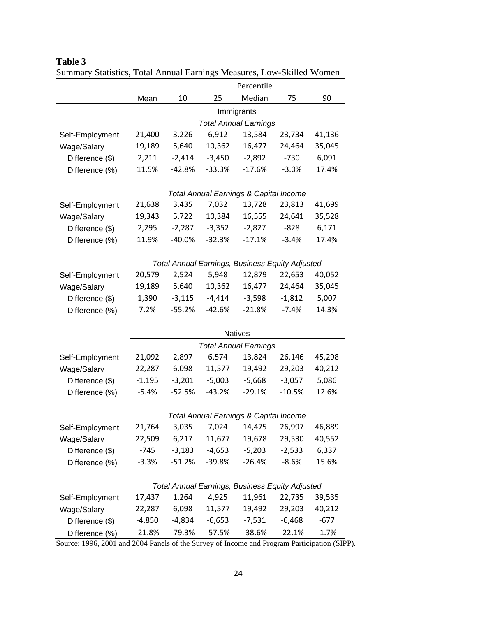|                 |          |          |          | Percentile                                        |          |         |
|-----------------|----------|----------|----------|---------------------------------------------------|----------|---------|
|                 | Mean     | 10       | 25       | Median                                            | 75       | 90      |
|                 |          |          |          | Immigrants                                        |          |         |
|                 |          |          |          | <b>Total Annual Earnings</b>                      |          |         |
| Self-Employment | 21,400   | 3,226    | 6,912    | 13,584                                            | 23,734   | 41,136  |
| Wage/Salary     | 19,189   | 5,640    | 10,362   | 16,477                                            | 24,464   | 35,045  |
| Difference (\$) | 2,211    | $-2,414$ | $-3,450$ | $-2,892$                                          | $-730$   | 6,091   |
| Difference (%)  | 11.5%    | $-42.8%$ | $-33.3%$ | $-17.6%$                                          | $-3.0%$  | 17.4%   |
|                 |          |          |          |                                                   |          |         |
|                 |          |          |          | <b>Total Annual Earnings &amp; Capital Income</b> |          |         |
| Self-Employment | 21,638   | 3,435    | 7,032    | 13,728                                            | 23,813   | 41,699  |
| Wage/Salary     | 19,343   | 5,722    | 10,384   | 16,555                                            | 24,641   | 35,528  |
| Difference (\$) | 2,295    | $-2,287$ | $-3,352$ | $-2,827$                                          | $-828$   | 6,171   |
| Difference (%)  | 11.9%    | $-40.0%$ | $-32.3%$ | $-17.1%$                                          | $-3.4%$  | 17.4%   |
|                 |          |          |          |                                                   |          |         |
|                 |          |          |          | Total Annual Earnings, Business Equity Adjusted   |          |         |
| Self-Employment | 20,579   | 2,524    | 5,948    | 12,879                                            | 22,653   | 40,052  |
| Wage/Salary     | 19,189   | 5,640    | 10,362   | 16,477                                            | 24,464   | 35,045  |
| Difference (\$) | 1,390    | $-3,115$ | $-4,414$ | $-3,598$                                          | $-1,812$ | 5,007   |
| Difference (%)  | 7.2%     | $-55.2%$ | $-42.6%$ | $-21.8%$                                          | $-7.4%$  | 14.3%   |
|                 |          |          |          | <b>Natives</b>                                    |          |         |
|                 |          |          |          | <b>Total Annual Earnings</b>                      |          |         |
| Self-Employment | 21,092   | 2,897    | 6,574    | 13,824                                            | 26,146   | 45,298  |
| Wage/Salary     | 22,287   | 6,098    | 11,577   | 19,492                                            | 29,203   | 40,212  |
| Difference (\$) | $-1,195$ | $-3,201$ | $-5,003$ | $-5,668$                                          | $-3,057$ | 5,086   |
| Difference (%)  | $-5.4%$  | $-52.5%$ | $-43.2%$ | $-29.1%$                                          | $-10.5%$ | 12.6%   |
|                 |          |          |          |                                                   |          |         |
|                 |          |          |          | <b>Total Annual Earnings &amp; Capital Income</b> |          |         |
| Self-Employment | 21,764   | 3,035    |          | 7,024 14,475 26,997                               |          | 46,889  |
| Wage/Salary     | 22,509   | 6,217    | 11,677   | 19,678                                            | 29,530   | 40,552  |
| Difference (\$) | $-745$   | $-3,183$ | $-4,653$ | $-5,203$                                          | $-2,533$ | 6,337   |
| Difference (%)  | $-3.3%$  | $-51.2%$ | $-39.8%$ | $-26.4%$                                          | $-8.6%$  | 15.6%   |
|                 |          |          |          |                                                   |          |         |
|                 |          |          |          | Total Annual Earnings, Business Equity Adjusted   |          |         |
| Self-Employment | 17,437   | 1,264    | 4,925    | 11,961                                            | 22,735   | 39,535  |
| Wage/Salary     | 22,287   | 6,098    | 11,577   | 19,492                                            | 29,203   | 40,212  |
| Difference (\$) | $-4,850$ | $-4,834$ | $-6,653$ | $-7,531$                                          | $-6,468$ | $-677$  |
| Difference (%)  | $-21.8%$ | $-79.3%$ | $-57.5%$ | $-38.6%$                                          | $-22.1%$ | $-1.7%$ |

**Table 3**  Summary Statistics, Total Annual Earnings Measures, Low-Skilled Women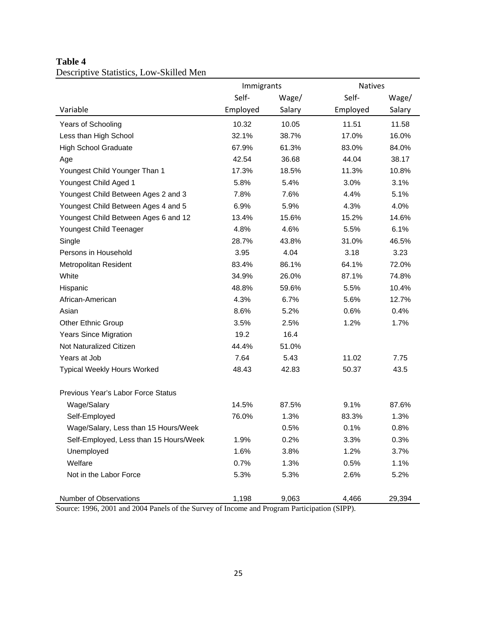|                                        | Immigrants |        | <b>Natives</b> |        |
|----------------------------------------|------------|--------|----------------|--------|
|                                        | Self-      | Wage/  | Self-          | Wage/  |
| Variable                               | Employed   | Salary | Employed       | Salary |
| Years of Schooling                     | 10.32      | 10.05  | 11.51          | 11.58  |
| Less than High School                  | 32.1%      | 38.7%  | 17.0%          | 16.0%  |
| <b>High School Graduate</b>            | 67.9%      | 61.3%  | 83.0%          | 84.0%  |
| Age                                    | 42.54      | 36.68  | 44.04          | 38.17  |
| Youngest Child Younger Than 1          | 17.3%      | 18.5%  | 11.3%          | 10.8%  |
| Youngest Child Aged 1                  | 5.8%       | 5.4%   | 3.0%           | 3.1%   |
| Youngest Child Between Ages 2 and 3    | 7.8%       | 7.6%   | 4.4%           | 5.1%   |
| Youngest Child Between Ages 4 and 5    | 6.9%       | 5.9%   | 4.3%           | 4.0%   |
| Youngest Child Between Ages 6 and 12   | 13.4%      | 15.6%  | 15.2%          | 14.6%  |
| Youngest Child Teenager                | 4.8%       | 4.6%   | 5.5%           | 6.1%   |
| Single                                 | 28.7%      | 43.8%  | 31.0%          | 46.5%  |
| Persons in Household                   | 3.95       | 4.04   | 3.18           | 3.23   |
| <b>Metropolitan Resident</b>           | 83.4%      | 86.1%  | 64.1%          | 72.0%  |
| White                                  | 34.9%      | 26.0%  | 87.1%          | 74.8%  |
| Hispanic                               | 48.8%      | 59.6%  | 5.5%           | 10.4%  |
| African-American                       | 4.3%       | 6.7%   | 5.6%           | 12.7%  |
| Asian                                  | 8.6%       | 5.2%   | 0.6%           | 0.4%   |
| <b>Other Ethnic Group</b>              | 3.5%       | 2.5%   | 1.2%           | 1.7%   |
| <b>Years Since Migration</b>           | 19.2       | 16.4   |                |        |
| Not Naturalized Citizen                | 44.4%      | 51.0%  |                |        |
| Years at Job                           | 7.64       | 5.43   | 11.02          | 7.75   |
| <b>Typical Weekly Hours Worked</b>     | 48.43      | 42.83  | 50.37          | 43.5   |
| Previous Year's Labor Force Status     |            |        |                |        |
| Wage/Salary                            | 14.5%      | 87.5%  | 9.1%           | 87.6%  |
| Self-Employed                          | 76.0%      | 1.3%   | 83.3%          | 1.3%   |
| Wage/Salary, Less than 15 Hours/Week   |            | 0.5%   | 0.1%           | 0.8%   |
| Self-Employed, Less than 15 Hours/Week | 1.9%       | 0.2%   | 3.3%           | 0.3%   |
| Unemployed                             | 1.6%       | 3.8%   | 1.2%           | 3.7%   |
| Welfare                                | 0.7%       | 1.3%   | 0.5%           | 1.1%   |
| Not in the Labor Force                 | 5.3%       | 5.3%   | 2.6%           | 5.2%   |
| Number of Observations                 | 1,198      | 9,063  | 4,466          | 29,394 |

## **Table 4**  Descriptive Statistics, Low-Skilled Men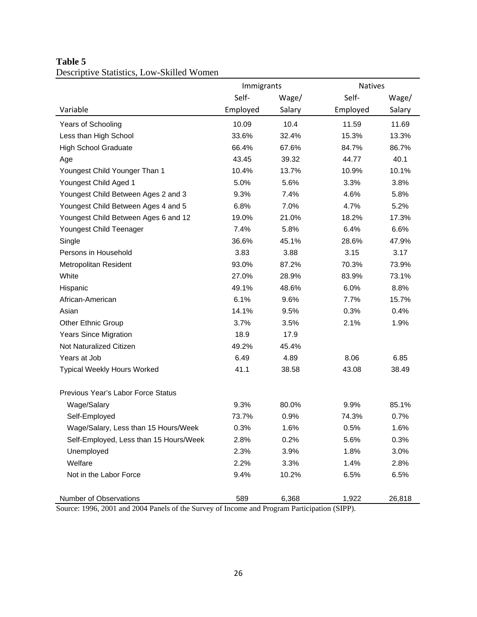|                                        | Immigrants |        | <b>Natives</b> |        |
|----------------------------------------|------------|--------|----------------|--------|
|                                        | Self-      | Wage/  | Self-          | Wage/  |
| Variable                               | Employed   | Salary | Employed       | Salary |
| Years of Schooling                     | 10.09      | 10.4   | 11.59          | 11.69  |
| Less than High School                  | 33.6%      | 32.4%  | 15.3%          | 13.3%  |
| <b>High School Graduate</b>            | 66.4%      | 67.6%  | 84.7%          | 86.7%  |
| Age                                    | 43.45      | 39.32  | 44.77          | 40.1   |
| Youngest Child Younger Than 1          | 10.4%      | 13.7%  | 10.9%          | 10.1%  |
| Youngest Child Aged 1                  | 5.0%       | 5.6%   | 3.3%           | 3.8%   |
| Youngest Child Between Ages 2 and 3    | 9.3%       | 7.4%   | 4.6%           | 5.8%   |
| Youngest Child Between Ages 4 and 5    | 6.8%       | 7.0%   | 4.7%           | 5.2%   |
| Youngest Child Between Ages 6 and 12   | 19.0%      | 21.0%  | 18.2%          | 17.3%  |
| Youngest Child Teenager                | 7.4%       | 5.8%   | 6.4%           | 6.6%   |
| Single                                 | 36.6%      | 45.1%  | 28.6%          | 47.9%  |
| Persons in Household                   | 3.83       | 3.88   | 3.15           | 3.17   |
| <b>Metropolitan Resident</b>           | 93.0%      | 87.2%  | 70.3%          | 73.9%  |
| White                                  | 27.0%      | 28.9%  | 83.9%          | 73.1%  |
| Hispanic                               | 49.1%      | 48.6%  | 6.0%           | 8.8%   |
| African-American                       | 6.1%       | 9.6%   | 7.7%           | 15.7%  |
| Asian                                  | 14.1%      | 9.5%   | 0.3%           | 0.4%   |
| <b>Other Ethnic Group</b>              | 3.7%       | 3.5%   | 2.1%           | 1.9%   |
| <b>Years Since Migration</b>           | 18.9       | 17.9   |                |        |
| Not Naturalized Citizen                | 49.2%      | 45.4%  |                |        |
| Years at Job                           | 6.49       | 4.89   | 8.06           | 6.85   |
| <b>Typical Weekly Hours Worked</b>     | 41.1       | 38.58  | 43.08          | 38.49  |
| Previous Year's Labor Force Status     |            |        |                |        |
| Wage/Salary                            | 9.3%       | 80.0%  | 9.9%           | 85.1%  |
| Self-Employed                          | 73.7%      | 0.9%   | 74.3%          | 0.7%   |
| Wage/Salary, Less than 15 Hours/Week   | 0.3%       | 1.6%   | 0.5%           | 1.6%   |
| Self-Employed, Less than 15 Hours/Week | 2.8%       | 0.2%   | 5.6%           | 0.3%   |
| Unemployed                             | 2.3%       | 3.9%   | 1.8%           | 3.0%   |
| Welfare                                | 2.2%       | 3.3%   | 1.4%           | 2.8%   |
| Not in the Labor Force                 | 9.4%       | 10.2%  | 6.5%           | 6.5%   |
| Number of Observations                 | 589        | 6,368  | 1,922          | 26,818 |

# **Table 5**  Descriptive Statistics, Low-Skilled Women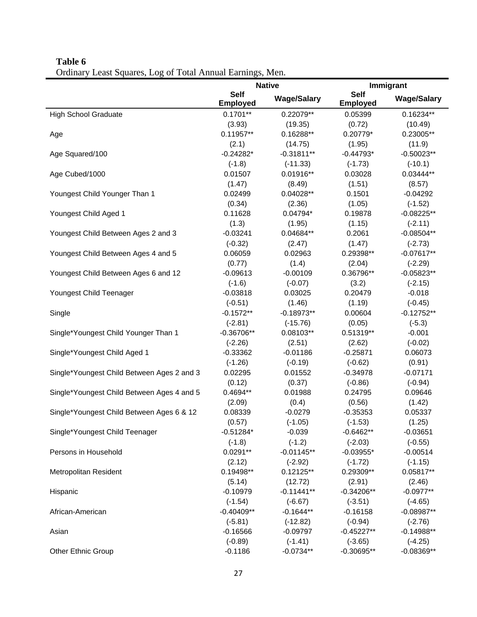| $P_{\text{r}}$ $P_{\text{r}}$ $P_{\text{r}}$ $P_{\text{r}}$ $P_{\text{r}}$ $P_{\text{r}}$ $P_{\text{r}}$ $P_{\text{r}}$ $P_{\text{r}}$ $P_{\text{r}}$ $P_{\text{r}}$ $P_{\text{r}}$ $P_{\text{r}}$ $P_{\text{r}}$ $P_{\text{r}}$ $P_{\text{r}}$ $P_{\text{r}}$ $P_{\text{r}}$ $P_{\text{r}}$ $P_{\text{r}}$ $P_{\text{r}}$ $P_{\text{r}}$ |                                | <b>Native</b>      |                                | Immigrant          |
|-------------------------------------------------------------------------------------------------------------------------------------------------------------------------------------------------------------------------------------------------------------------------------------------------------------------------------------------|--------------------------------|--------------------|--------------------------------|--------------------|
|                                                                                                                                                                                                                                                                                                                                           | <b>Self</b><br><b>Employed</b> | <b>Wage/Salary</b> | <b>Self</b><br><b>Employed</b> | <b>Wage/Salary</b> |
| <b>High School Graduate</b>                                                                                                                                                                                                                                                                                                               | $0.1701**$                     | 0.22079**          | 0.05399                        | $0.16234**$        |
|                                                                                                                                                                                                                                                                                                                                           | (3.93)                         | (19.35)            | (0.72)                         | (10.49)            |
| Age                                                                                                                                                                                                                                                                                                                                       | $0.11957**$                    | $0.16288**$        | $0.20779*$                     | 0.23005**          |
|                                                                                                                                                                                                                                                                                                                                           | (2.1)                          | (14.75)            | (1.95)                         | (11.9)             |
| Age Squared/100                                                                                                                                                                                                                                                                                                                           | $-0.24282*$                    | $-0.31811**$       | $-0.44793*$                    | $-0.50023**$       |
|                                                                                                                                                                                                                                                                                                                                           | $(-1.8)$                       | $(-11.33)$         | $(-1.73)$                      | $(-10.1)$          |
| Age Cubed/1000                                                                                                                                                                                                                                                                                                                            | 0.01507                        | $0.01916**$        | 0.03028                        | 0.03444**          |
|                                                                                                                                                                                                                                                                                                                                           | (1.47)                         | (8.49)             | (1.51)                         | (8.57)             |
| Youngest Child Younger Than 1                                                                                                                                                                                                                                                                                                             | 0.02499                        | $0.04028**$        | 0.1501                         | $-0.04292$         |
|                                                                                                                                                                                                                                                                                                                                           | (0.34)                         | (2.36)             | (1.05)                         | $(-1.52)$          |
| Youngest Child Aged 1                                                                                                                                                                                                                                                                                                                     | 0.11628                        | $0.04794*$         | 0.19878                        | $-0.08225**$       |
|                                                                                                                                                                                                                                                                                                                                           | (1.3)                          | (1.95)             | (1.15)                         | $(-2.11)$          |
| Youngest Child Between Ages 2 and 3                                                                                                                                                                                                                                                                                                       | $-0.03241$                     | 0.04684**          | 0.2061                         | $-0.08504**$       |
|                                                                                                                                                                                                                                                                                                                                           | $(-0.32)$                      | (2.47)             | (1.47)                         | $(-2.73)$          |
| Youngest Child Between Ages 4 and 5                                                                                                                                                                                                                                                                                                       | 0.06059                        | 0.02963            | 0.29398**                      | $-0.07617**$       |
|                                                                                                                                                                                                                                                                                                                                           | (0.77)                         | (1.4)              | (2.04)                         | $(-2.29)$          |
| Youngest Child Between Ages 6 and 12                                                                                                                                                                                                                                                                                                      | $-0.09613$                     | $-0.00109$         | 0.36796**                      | $-0.05823**$       |
|                                                                                                                                                                                                                                                                                                                                           | $(-1.6)$                       | $(-0.07)$          | (3.2)                          | $(-2.15)$          |
| Youngest Child Teenager                                                                                                                                                                                                                                                                                                                   | $-0.03818$                     | 0.03025            | 0.20479                        | $-0.018$           |
|                                                                                                                                                                                                                                                                                                                                           | $(-0.51)$                      | (1.46)             | (1.19)                         | $(-0.45)$          |
| Single                                                                                                                                                                                                                                                                                                                                    | $-0.1572**$                    | $-0.18973**$       | 0.00604                        | $-0.12752**$       |
|                                                                                                                                                                                                                                                                                                                                           | $(-2.81)$                      | $(-15.76)$         | (0.05)                         | $(-5.3)$           |
| Single*Youngest Child Younger Than 1                                                                                                                                                                                                                                                                                                      | $-0.36706**$                   | 0.08103**          | 0.51319**                      | $-0.001$           |
|                                                                                                                                                                                                                                                                                                                                           | $(-2.26)$                      | (2.51)             | (2.62)                         | $(-0.02)$          |
| Single*Youngest Child Aged 1                                                                                                                                                                                                                                                                                                              | $-0.33362$                     | $-0.01186$         | $-0.25871$                     | 0.06073            |
|                                                                                                                                                                                                                                                                                                                                           | $(-1.26)$                      | $(-0.19)$          | $(-0.62)$                      | (0.91)             |
| Single*Youngest Child Between Ages 2 and 3                                                                                                                                                                                                                                                                                                | 0.02295                        | 0.01552            | $-0.34978$                     | $-0.07171$         |
|                                                                                                                                                                                                                                                                                                                                           | (0.12)                         | (0.37)             | $(-0.86)$                      | $(-0.94)$          |
| Single*Youngest Child Between Ages 4 and 5                                                                                                                                                                                                                                                                                                | $0.4694**$                     | 0.01988            | 0.24795                        | 0.09646            |
|                                                                                                                                                                                                                                                                                                                                           | (2.09)                         | (0.4)              | (0.56)                         | (1.42)             |
| Single*Youngest Child Between Ages 6 & 12                                                                                                                                                                                                                                                                                                 | 0.08339                        | $-0.0279$          | $-0.35353$                     | 0.05337            |
|                                                                                                                                                                                                                                                                                                                                           | (0.57)                         | $(-1.05)$          | $(-1.53)$                      | (1.25)             |
| Single*Youngest Child Teenager                                                                                                                                                                                                                                                                                                            | $-0.51284*$                    | $-0.039$           | $-0.6462**$                    | $-0.03651$         |
|                                                                                                                                                                                                                                                                                                                                           | $(-1.8)$                       | $(-1.2)$           | $(-2.03)$                      | $(-0.55)$          |
| Persons in Household                                                                                                                                                                                                                                                                                                                      | $0.0291**$                     | $-0.01145**$       | $-0.03955*$                    | $-0.00514$         |
|                                                                                                                                                                                                                                                                                                                                           | (2.12)                         | $(-2.92)$          | $(-1.72)$                      | $(-1.15)$          |
| Metropolitan Resident                                                                                                                                                                                                                                                                                                                     | $0.19498**$                    | $0.12125**$        | 0.29309**                      | 0.05817**          |
|                                                                                                                                                                                                                                                                                                                                           | (5.14)                         | (12.72)            | (2.91)                         | (2.46)             |
| Hispanic                                                                                                                                                                                                                                                                                                                                  | $-0.10979$                     | $-0.11441**$       | $-0.34206**$                   | $-0.0977**$        |
|                                                                                                                                                                                                                                                                                                                                           | $(-1.54)$                      | $(-6.67)$          | $(-3.51)$                      | $(-4.65)$          |
| African-American                                                                                                                                                                                                                                                                                                                          | $-0.40409**$                   | $-0.1644**$        | $-0.16158$                     | $-0.08987**$       |
|                                                                                                                                                                                                                                                                                                                                           | $(-5.81)$                      | $(-12.82)$         | $(-0.94)$                      | $(-2.76)$          |
| Asian                                                                                                                                                                                                                                                                                                                                     | $-0.16566$                     | $-0.09797$         | $-0.45227**$                   | $-0.14988**$       |
|                                                                                                                                                                                                                                                                                                                                           | $(-0.89)$                      | $(-1.41)$          | $(-3.65)$                      | $(-4.25)$          |
| <b>Other Ethnic Group</b>                                                                                                                                                                                                                                                                                                                 | $-0.1186$                      | $-0.0734**$        | $-0.30695**$                   | $-0.08369**$       |
|                                                                                                                                                                                                                                                                                                                                           |                                |                    |                                |                    |

# **Table 6**  Ordinary Least Squares, Log of Total Annual Earnings, Men.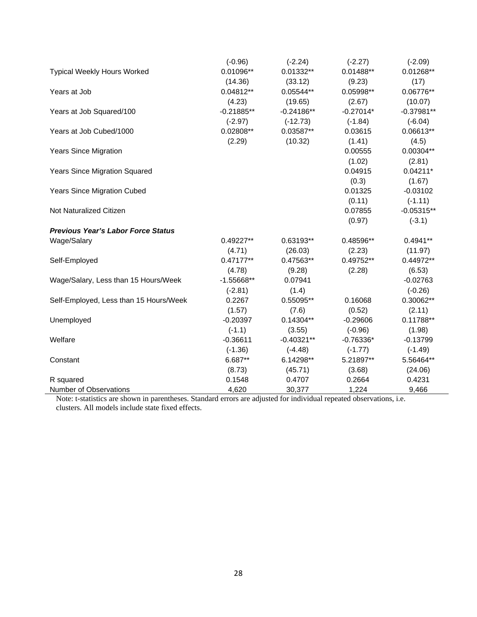|                                           | $(-0.96)$    | $(-2.24)$    | $(-2.27)$   | $(-2.09)$    |
|-------------------------------------------|--------------|--------------|-------------|--------------|
| <b>Typical Weekly Hours Worked</b>        | 0.01096**    | $0.01332**$  | $0.01488**$ | 0.01268**    |
|                                           | (14.36)      | (33.12)      | (9.23)      | (17)         |
| Years at Job                              | 0.04812**    | $0.05544**$  | 0.05998**   | 0.06776**    |
|                                           | (4.23)       | (19.65)      | (2.67)      | (10.07)      |
| Years at Job Squared/100                  | $-0.21885**$ | $-0.24186**$ | $-0.27014*$ | $-0.37981**$ |
|                                           | $(-2.97)$    | $(-12.73)$   | $(-1.84)$   | $(-6.04)$    |
| Years at Job Cubed/1000                   | 0.02808**    | 0.03587**    | 0.03615     | 0.06613**    |
|                                           | (2.29)       | (10.32)      | (1.41)      | (4.5)        |
| <b>Years Since Migration</b>              |              |              | 0.00555     | $0.00304**$  |
|                                           |              |              | (1.02)      | (2.81)       |
| <b>Years Since Migration Squared</b>      |              |              | 0.04915     | $0.04211*$   |
|                                           |              |              | (0.3)       | (1.67)       |
| <b>Years Since Migration Cubed</b>        |              |              | 0.01325     | $-0.03102$   |
|                                           |              |              | (0.11)      | $(-1.11)$    |
| Not Naturalized Citizen                   |              |              | 0.07855     | $-0.05315**$ |
|                                           |              |              | (0.97)      | $(-3.1)$     |
| <b>Previous Year's Labor Force Status</b> |              |              |             |              |
| Wage/Salary                               | 0.49227**    | 0.63193**    | 0.48596**   | $0.4941**$   |
|                                           | (4.71)       | (26.03)      | (2.23)      | (11.97)      |
| Self-Employed                             | $0.47177**$  | 0.47563**    | $0.49752**$ | 0.44972**    |
|                                           | (4.78)       | (9.28)       | (2.28)      | (6.53)       |
| Wage/Salary, Less than 15 Hours/Week      | $-1.55668**$ | 0.07941      |             | $-0.02763$   |
|                                           | $(-2.81)$    | (1.4)        |             | $(-0.26)$    |
| Self-Employed, Less than 15 Hours/Week    | 0.2267       | 0.55095**    | 0.16068     | 0.30062**    |
|                                           | (1.57)       | (7.6)        | (0.52)      | (2.11)       |
| Unemployed                                | $-0.20397$   | $0.14304**$  | $-0.29606$  | 0.11788**    |
|                                           | $(-1.1)$     | (3.55)       | $(-0.96)$   | (1.98)       |
| Welfare                                   | $-0.36611$   | $-0.40321**$ | $-0.76336*$ | $-0.13799$   |
|                                           | $(-1.36)$    | $(-4.48)$    | $(-1.77)$   | $(-1.49)$    |
| Constant                                  | 6.687**      | 6.14298**    | 5.21897**   | 5.56464**    |
|                                           | (8.73)       | (45.71)      | (3.68)      | (24.06)      |
| R squared                                 | 0.1548       | 0.4707       | 0.2664      | 0.4231       |
| Number of Observations                    | 4,620        | 30,377       | 1,224       | 9,466        |

Note: t-statistics are shown in parentheses. Standard errors are adjusted for individual repeated observations, i.e. clusters. All models include state fixed effects.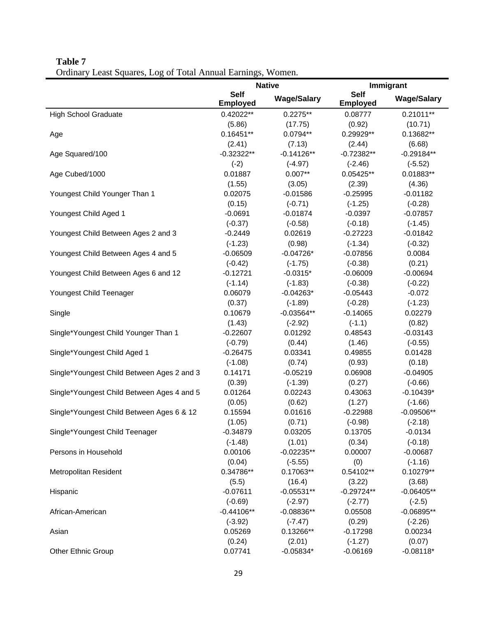| $P_{\rm{1}}$ and $P_{\rm{2}}$ and $P_{\rm{3}}$ and $P_{\rm{3}}$ and $P_{\rm{3}}$ and $P_{\rm{4}}$ and $P_{\rm{3}}$ | <b>Native</b>                  |                    |                                | Immigrant          |
|--------------------------------------------------------------------------------------------------------------------|--------------------------------|--------------------|--------------------------------|--------------------|
|                                                                                                                    | <b>Self</b><br><b>Employed</b> | <b>Wage/Salary</b> | <b>Self</b><br><b>Employed</b> | <b>Wage/Salary</b> |
| <b>High School Graduate</b>                                                                                        | $0.42022**$                    | $0.2275**$         | 0.08777                        | $0.21011**$        |
|                                                                                                                    | (5.86)                         | (17.75)            | (0.92)                         | (10.71)            |
| Age                                                                                                                | $0.16451**$                    | $0.0794**$         | 0.29929**                      | 0.13682**          |
|                                                                                                                    | (2.41)                         | (7.13)             | (2.44)                         | (6.68)             |
| Age Squared/100                                                                                                    | $-0.32322**$                   | $-0.14126**$       | $-0.72382**$                   | $-0.29184**$       |
|                                                                                                                    | $(-2)$                         | $(-4.97)$          | $(-2.46)$                      | $(-5.52)$          |
| Age Cubed/1000                                                                                                     | 0.01887                        | $0.007**$          | $0.05425**$                    | 0.01883**          |
|                                                                                                                    | (1.55)                         | (3.05)             | (2.39)                         | (4.36)             |
| Youngest Child Younger Than 1                                                                                      | 0.02075                        | $-0.01586$         | $-0.25995$                     | $-0.01182$         |
|                                                                                                                    | (0.15)                         | $(-0.71)$          | $(-1.25)$                      | $(-0.28)$          |
| Youngest Child Aged 1                                                                                              | $-0.0691$                      | $-0.01874$         | $-0.0397$                      | $-0.07857$         |
|                                                                                                                    | $(-0.37)$                      | $(-0.58)$          | $(-0.18)$                      | $(-1.45)$          |
| Youngest Child Between Ages 2 and 3                                                                                | $-0.2449$                      | 0.02619            | $-0.27223$                     | $-0.01842$         |
|                                                                                                                    | $(-1.23)$                      | (0.98)             | $(-1.34)$                      | $(-0.32)$          |
| Youngest Child Between Ages 4 and 5                                                                                | $-0.06509$                     | $-0.04726*$        | $-0.07856$                     | 0.0084             |
|                                                                                                                    | $(-0.42)$                      | $(-1.75)$          | $(-0.38)$                      | (0.21)             |
| Youngest Child Between Ages 6 and 12                                                                               | $-0.12721$                     | $-0.0315*$         | $-0.06009$                     | $-0.00694$         |
|                                                                                                                    | $(-1.14)$                      | $(-1.83)$          | $(-0.38)$                      | $(-0.22)$          |
| Youngest Child Teenager                                                                                            | 0.06079                        | $-0.04263*$        | $-0.05443$                     | $-0.072$           |
|                                                                                                                    | (0.37)                         | $(-1.89)$          | $(-0.28)$                      | $(-1.23)$          |
| Single                                                                                                             | 0.10679                        | $-0.03564**$       | $-0.14065$                     | 0.02279            |
|                                                                                                                    | (1.43)                         | $(-2.92)$          | $(-1.1)$                       | (0.82)             |
| Single*Youngest Child Younger Than 1                                                                               | $-0.22607$                     | 0.01292            | 0.48543                        | $-0.03143$         |
|                                                                                                                    | $(-0.79)$                      | (0.44)             | (1.46)                         | $(-0.55)$          |
| Single*Youngest Child Aged 1                                                                                       | $-0.26475$                     | 0.03341            | 0.49855                        | 0.01428            |
|                                                                                                                    | $(-1.08)$                      | (0.74)             | (0.93)                         | (0.18)             |
| Single*Youngest Child Between Ages 2 and 3                                                                         | 0.14171                        | $-0.05219$         | 0.06908                        | $-0.04905$         |
|                                                                                                                    | (0.39)                         | $(-1.39)$          | (0.27)                         | $(-0.66)$          |
| Single*Youngest Child Between Ages 4 and 5                                                                         | 0.01264                        | 0.02243            | 0.43063                        | $-0.10439*$        |
|                                                                                                                    | (0.05)                         | (0.62)             | (1.27)                         | $(-1.66)$          |
| Single*Youngest Child Between Ages 6 & 12                                                                          | 0.15594                        | 0.01616            | $-0.22988$                     | $-0.09506**$       |
|                                                                                                                    | (1.05)                         | (0.71)             | $(-0.98)$                      | $(-2.18)$          |
| Single*Youngest Child Teenager                                                                                     | $-0.34879$                     | 0.03205            | 0.13705                        | $-0.0134$          |
|                                                                                                                    | $(-1.48)$                      | (1.01)             | (0.34)                         | $(-0.18)$          |
| Persons in Household                                                                                               | 0.00106                        | $-0.02235**$       | 0.00007                        | $-0.00687$         |
|                                                                                                                    | (0.04)                         | $(-5.55)$          | (0)                            | $(-1.16)$          |
| Metropolitan Resident                                                                                              | 0.34786**                      | $0.17063**$        | 0.54102**                      | $0.10279**$        |
|                                                                                                                    | (5.5)                          | (16.4)             | (3.22)                         | (3.68)             |
| Hispanic                                                                                                           | $-0.07611$                     | $-0.05531**$       | $-0.29724**$                   | $-0.06405**$       |
|                                                                                                                    | $(-0.69)$                      | $(-2.97)$          | $(-2.77)$                      | $(-2.5)$           |
| African-American                                                                                                   | $-0.44106**$                   | $-0.08836**$       | 0.05508                        | $-0.06895**$       |
|                                                                                                                    | $(-3.92)$                      | $(-7.47)$          | (0.29)                         | $(-2.26)$          |
| Asian                                                                                                              | 0.05269                        | 0.13266**          | $-0.17298$                     | 0.00234            |
|                                                                                                                    | (0.24)                         | (2.01)             | $(-1.27)$                      | (0.07)             |
| <b>Other Ethnic Group</b>                                                                                          | 0.07741                        | $-0.05834*$        | $-0.06169$                     | $-0.08118*$        |
|                                                                                                                    |                                |                    |                                |                    |

## **Table 7**  Ordinary Least Squares, Log of Total Annual Earnings, Women.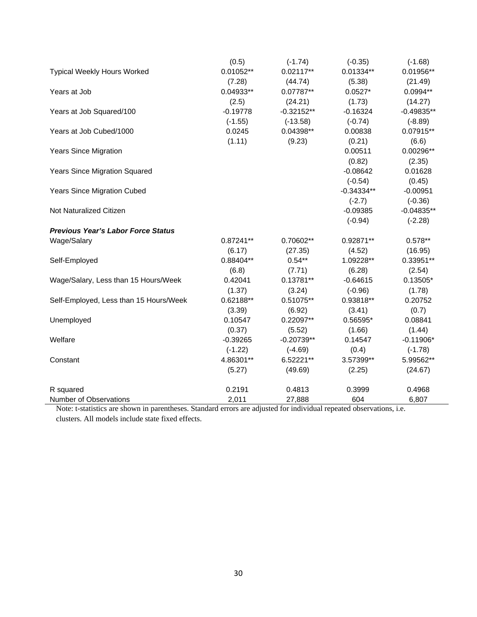|                                           | (0.5)       | $(-1.74)$    | $(-0.35)$    | $(-1.68)$    |
|-------------------------------------------|-------------|--------------|--------------|--------------|
| <b>Typical Weekly Hours Worked</b>        | $0.01052**$ | $0.02117**$  | $0.01334**$  | 0.01956**    |
|                                           | (7.28)      | (44.74)      | (5.38)       | (21.49)      |
| Years at Job                              | 0.04933**   | 0.07787**    | $0.0527*$    | 0.0994**     |
|                                           | (2.5)       | (24.21)      | (1.73)       | (14.27)      |
| Years at Job Squared/100                  | $-0.19778$  | $-0.32152**$ | $-0.16324$   | $-0.49835**$ |
|                                           | $(-1.55)$   | $(-13.58)$   | $(-0.74)$    | $(-8.89)$    |
| Years at Job Cubed/1000                   | 0.0245      | 0.04398**    | 0.00838      | 0.07915**    |
|                                           | (1.11)      | (9.23)       | (0.21)       | (6.6)        |
| <b>Years Since Migration</b>              |             |              | 0.00511      | 0.00296**    |
|                                           |             |              | (0.82)       | (2.35)       |
| <b>Years Since Migration Squared</b>      |             |              | $-0.08642$   | 0.01628      |
|                                           |             |              | $(-0.54)$    | (0.45)       |
| <b>Years Since Migration Cubed</b>        |             |              | $-0.34334**$ | $-0.00951$   |
|                                           |             |              | $(-2.7)$     | $(-0.36)$    |
| Not Naturalized Citizen                   |             |              | $-0.09385$   | $-0.04835**$ |
|                                           |             |              | $(-0.94)$    | $(-2.28)$    |
| <b>Previous Year's Labor Force Status</b> |             |              |              |              |
| Wage/Salary                               | $0.87241**$ | 0.70602**    | 0.92871**    | $0.578**$    |
|                                           | (6.17)      | (27.35)      | (4.52)       | (16.95)      |
| Self-Employed                             | 0.88404**   | $0.54**$     | 1.09228**    | 0.33951**    |
|                                           | (6.8)       | (7.71)       | (6.28)       | (2.54)       |
| Wage/Salary, Less than 15 Hours/Week      | 0.42041     | $0.13781**$  | $-0.64615$   | $0.13505*$   |
|                                           | (1.37)      | (3.24)       | $(-0.96)$    | (1.78)       |
| Self-Employed, Less than 15 Hours/Week    | 0.62188**   | 0.51075**    | 0.93818**    | 0.20752      |
|                                           | (3.39)      | (6.92)       | (3.41)       | (0.7)        |
| Unemployed                                | 0.10547     | 0.22097**    | 0.56595*     | 0.08841      |
|                                           | (0.37)      | (5.52)       | (1.66)       | (1.44)       |
| Welfare                                   | $-0.39265$  | $-0.20739**$ | 0.14547      | $-0.11906*$  |
|                                           | $(-1.22)$   | $(-4.69)$    | (0.4)        | $(-1.78)$    |
| Constant                                  | 4.86301**   | 6.52221**    | 3.57399**    | 5.99562**    |
|                                           | (5.27)      | (49.69)      | (2.25)       | (24.67)      |
| R squared                                 | 0.2191      | 0.4813       | 0.3999       | 0.4968       |
| Number of Observations                    | 2,011       | 27,888       | 604          | 6,807        |

Note: t-statistics are shown in parentheses. Standard errors are adjusted for individual repeated observations, i.e. clusters. All models include state fixed effects.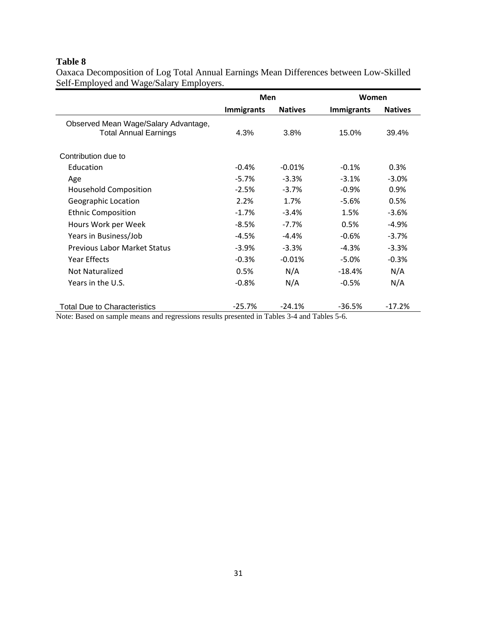# **Table 8**

Oaxaca Decomposition of Log Total Annual Earnings Mean Differences between Low-Skilled Self-Employed and Wage/Salary Employers.

|                                                                      | Men               |                | Women             |                |  |
|----------------------------------------------------------------------|-------------------|----------------|-------------------|----------------|--|
|                                                                      | <b>Immigrants</b> | <b>Natives</b> | <b>Immigrants</b> | <b>Natives</b> |  |
| Observed Mean Wage/Salary Advantage,<br><b>Total Annual Earnings</b> | 4.3%              | 3.8%           | 15.0%             | 39.4%          |  |
| Contribution due to                                                  |                   |                |                   |                |  |
| Education                                                            | $-0.4%$           | $-0.01%$       | $-0.1%$           | 0.3%           |  |
| Age                                                                  | $-5.7%$           | $-3.3%$        | $-3.1%$           | $-3.0%$        |  |
| <b>Household Composition</b>                                         | $-2.5%$           | $-3.7%$        | $-0.9%$           | 0.9%           |  |
| Geographic Location                                                  | 2.2%              | 1.7%           | $-5.6%$           | 0.5%           |  |
| <b>Ethnic Composition</b>                                            | $-1.7%$           | $-3.4%$        | 1.5%              | $-3.6%$        |  |
| Hours Work per Week                                                  | $-8.5%$           | $-7.7\%$       | 0.5%              | $-4.9%$        |  |
| Years in Business/Job                                                | $-4.5%$           | $-4.4%$        | $-0.6%$           | $-3.7%$        |  |
| <b>Previous Labor Market Status</b>                                  | $-3.9%$           | $-3.3%$        | $-4.3%$           | $-3.3%$        |  |
| <b>Year Effects</b>                                                  | $-0.3%$           | $-0.01%$       | $-5.0%$           | $-0.3%$        |  |
| Not Naturalized                                                      | 0.5%              | N/A            | $-18.4%$          | N/A            |  |
| Years in the U.S.                                                    | $-0.8%$           | N/A            | $-0.5%$           | N/A            |  |
| <b>Total Due to Characteristics</b><br>$\cdot$                       | $-25.7%$<br>.     | $-24.1%$       | $-36.5%$<br>.     | $-17.2%$       |  |

Note: Based on sample means and regressions results presented in Tables 3-4 and Tables 5-6.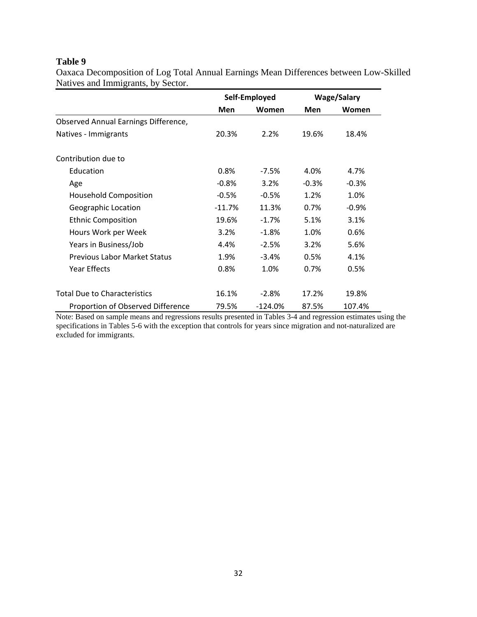#### **Table 9**

Oaxaca Decomposition of Log Total Annual Earnings Mean Differences between Low-Skilled Natives and Immigrants, by Sector.

|                                      |            | Self-Employed | <b>Wage/Salary</b> |         |
|--------------------------------------|------------|---------------|--------------------|---------|
|                                      | <b>Men</b> | Women         | Men                | Women   |
| Observed Annual Earnings Difference, |            |               |                    |         |
| Natives - Immigrants                 | 20.3%      | 2.2%          | 19.6%              | 18.4%   |
| Contribution due to                  |            |               |                    |         |
| Education                            | 0.8%       | $-7.5%$       | 4.0%               | 4.7%    |
| Age                                  | $-0.8%$    | 3.2%          | $-0.3%$            | $-0.3%$ |
| <b>Household Composition</b>         | $-0.5%$    | $-0.5%$       | 1.2%               | 1.0%    |
| Geographic Location                  | $-11.7%$   | 11.3%         | 0.7%               | $-0.9%$ |
| <b>Ethnic Composition</b>            | 19.6%      | $-1.7%$       | 5.1%               | 3.1%    |
| Hours Work per Week                  | 3.2%       | $-1.8%$       | 1.0%               | 0.6%    |
| Years in Business/Job                | 4.4%       | $-2.5%$       | 3.2%               | 5.6%    |
| <b>Previous Labor Market Status</b>  | 1.9%       | $-3.4%$       | 0.5%               | 4.1%    |
| Year Effects                         | 0.8%       | 1.0%          | 0.7%               | 0.5%    |
| <b>Total Due to Characteristics</b>  | 16.1%      | $-2.8%$       | 17.2%              | 19.8%   |
| Proportion of Observed Difference    | 79.5%      | $-124.0%$     | 87.5%              | 107.4%  |

Note: Based on sample means and regressions results presented in Tables 3-4 and regression estimates using the specifications in Tables 5-6 with the exception that controls for years since migration and not-naturalized are excluded for immigrants.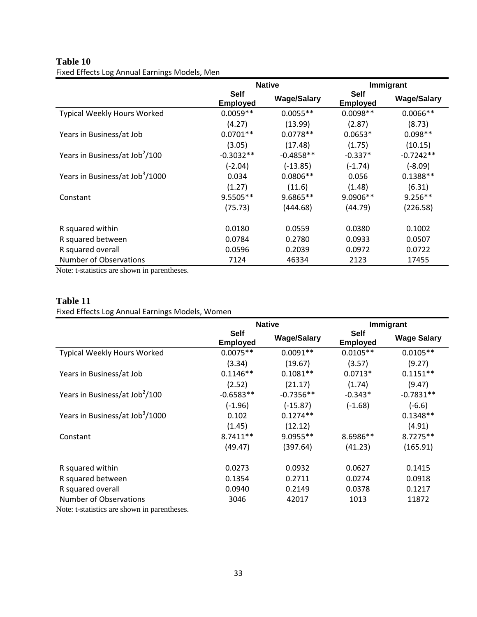# **Table 10**

Fixed Effects Log Annual Earnings Models, Men

|                                             | <b>Native</b>                  |                    | Immigrant                      |                    |
|---------------------------------------------|--------------------------------|--------------------|--------------------------------|--------------------|
|                                             | <b>Self</b><br><b>Employed</b> | <b>Wage/Salary</b> | <b>Self</b><br><b>Employed</b> | <b>Wage/Salary</b> |
| Typical Weekly Hours Worked                 | $0.0059**$                     | $0.0055**$         | $0.0098**$                     | $0.0066**$         |
|                                             | (4.27)                         | (13.99)            | (2.87)                         | (8.73)             |
| Years in Business/at Job                    | $0.0701**$                     | $0.0778**$         | $0.0653*$                      | $0.098**$          |
|                                             | (3.05)                         | (17.48)            | (1.75)                         | (10.15)            |
| Years in Business/at Job <sup>2</sup> /100  | $-0.3032**$                    | $-0.4858**$        | $-0.337*$                      | $-0.7242**$        |
|                                             | $(-2.04)$                      | $(-13.85)$         | $(-1.74)$                      | $(-8.09)$          |
| Years in Business/at Job <sup>3</sup> /1000 | 0.034                          | $0.0806**$         | 0.056                          | $0.1388**$         |
|                                             | (1.27)                         | (11.6)             | (1.48)                         | (6.31)             |
| Constant                                    | $9.5505**$                     | 9.6865**           | 9.0906**                       | $9.256**$          |
|                                             | (75.73)                        | (444.68)           | (44.79)                        | (226.58)           |
| R squared within                            | 0.0180                         | 0.0559             | 0.0380                         | 0.1002             |
| R squared between                           | 0.0784                         | 0.2780             | 0.0933                         | 0.0507             |
| R squared overall                           | 0.0596                         | 0.2039             | 0.0972                         | 0.0722             |
| Number of Observations                      | 7124                           | 46334              | 2123                           | 17455              |

Note: t-statistics are shown in parentheses.

### **Table 11**

### Fixed Effects Log Annual Earnings Models, Women

|                                             | <b>Native</b>                  |                    | Immigrant                      |                    |
|---------------------------------------------|--------------------------------|--------------------|--------------------------------|--------------------|
|                                             | <b>Self</b><br><b>Employed</b> | <b>Wage/Salary</b> | <b>Self</b><br><b>Employed</b> | <b>Wage Salary</b> |
| Typical Weekly Hours Worked                 | $0.0075**$                     | $0.0091**$         | $0.0105**$                     | $0.0105**$         |
|                                             | (3.34)                         | (19.67)            | (3.57)                         | (9.27)             |
| Years in Business/at Job                    | $0.1146**$                     | $0.1081**$         | $0.0713*$                      | $0.1151**$         |
|                                             | (2.52)                         | (21.17)            | (1.74)                         | (9.47)             |
| Years in Business/at Job <sup>2</sup> /100  | $-0.6583**$                    | $-0.7356**$        | $-0.343*$                      | $-0.7831**$        |
|                                             | $(-1.96)$                      | $(-15.87)$         | $(-1.68)$                      | $(-6.6)$           |
| Years in Business/at Job <sup>3</sup> /1000 | 0.102                          | $0.1274**$         |                                | $0.1348**$         |
|                                             | (1.45)                         | (12.12)            |                                | (4.91)             |
| Constant                                    | $8.7411**$                     | $9.0955**$         | 8.6986**                       | $8.7275**$         |
|                                             | (49.47)                        | (397.64)           | (41.23)                        | (165.91)           |
| R squared within                            | 0.0273                         | 0.0932             | 0.0627                         | 0.1415             |
| R squared between                           | 0.1354                         | 0.2711             | 0.0274                         | 0.0918             |
| R squared overall                           | 0.0940                         | 0.2149             | 0.0378                         | 0.1217             |
| Number of Observations                      | 3046                           | 42017              | 1013                           | 11872              |

Note: t-statistics are shown in parentheses.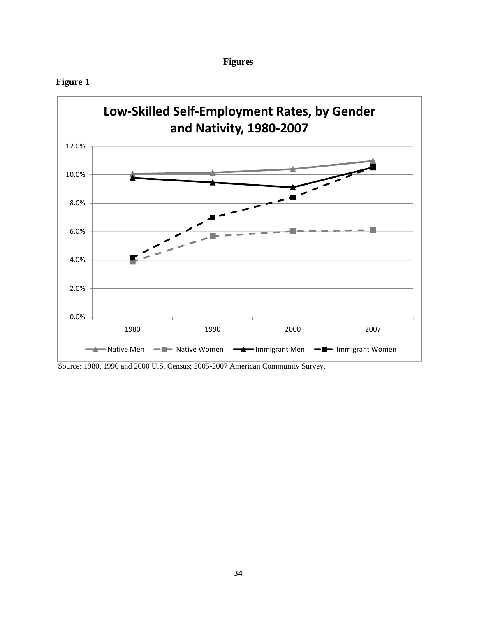| 9111 |
|------|
|------|





Source: 1980, 1990 and 2000 U.S. Census; 2005-2007 American Community Survey.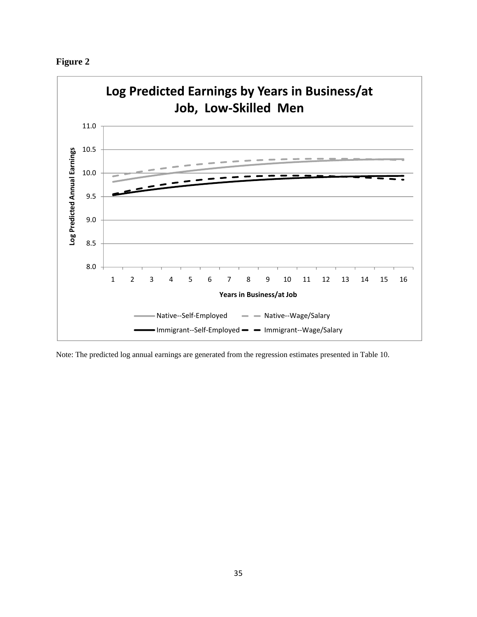



Note: The predicted log annual earnings are generated from the regression estimates presented in Table 10.